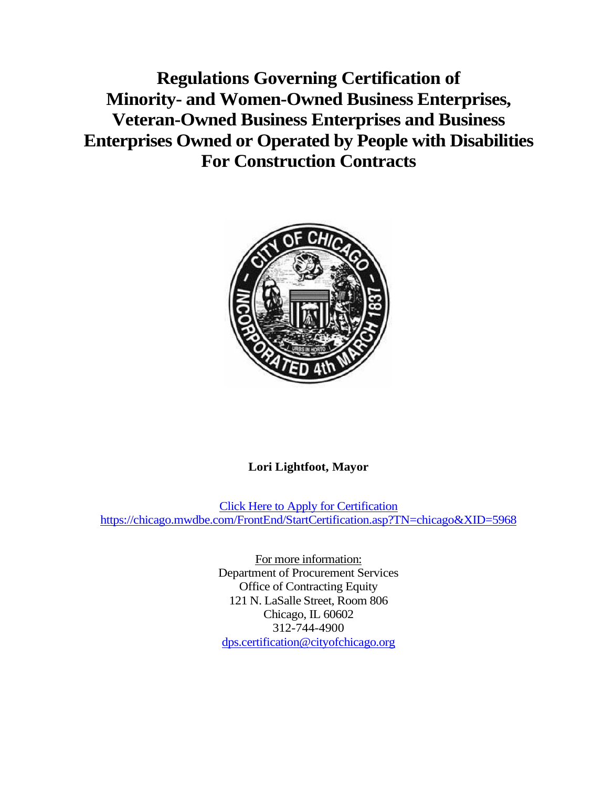**Regulations Governing Certification of Minority- and Women-Owned Business Enterprises, Veteran-Owned Business Enterprises and Business Enterprises Owned or Operated by People with Disabilities For Construction Contracts**



# **Lori Lightfoot, Mayor**

Click Here to Apply for Certification <https://chicago.mwdbe.com/FrontEnd/StartCertification.asp?TN=chicago&XID=5968>

> For more information: Department of Procurement Services Office of Contracting Equity 121 N. LaSalle Street, Room 806 Chicago, IL 60602 312-744-4900 [dps.certification@cityofchicago.org](mailto:dps.certification@cityofchicago.org)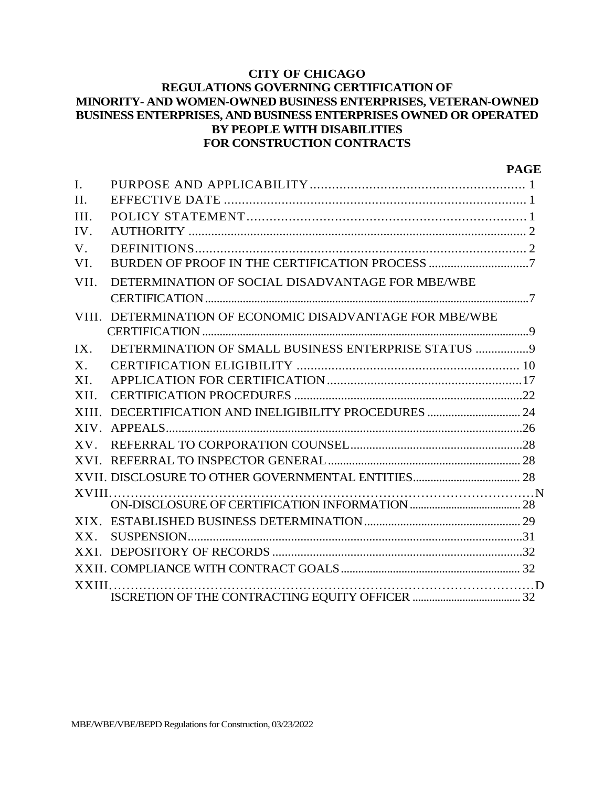#### **CITY OF CHICAGO REGULATIONS GOVERNING CERTIFICATION OF MINORITY- AND WOMEN-OWNED BUSINESS ENTERPRISES, VETERAN-OWNED BUSINESS ENTERPRISES, AND BUSINESS ENTERPRISES OWNED OR OPERATED BY PEOPLE WITH DISABILITIES FOR CONSTRUCTION CONTRACTS**

|             |                                                          | <b>PAGE</b> |
|-------------|----------------------------------------------------------|-------------|
| I.          |                                                          |             |
| II.         |                                                          |             |
| III.        |                                                          |             |
| IV.         |                                                          |             |
| $V_{\cdot}$ |                                                          |             |
| VI.         |                                                          |             |
| VII.        | DETERMINATION OF SOCIAL DISADVANTAGE FOR MBE/WBE         |             |
|             |                                                          |             |
|             | VIII. DETERMINATION OF ECONOMIC DISADVANTAGE FOR MBE/WBE |             |
|             |                                                          |             |
| IX.         |                                                          |             |
| $X_{\cdot}$ |                                                          |             |
| XI.         |                                                          |             |
| XII.        |                                                          |             |
|             |                                                          |             |
|             |                                                          |             |
|             |                                                          |             |
|             |                                                          |             |
|             |                                                          |             |
|             |                                                          |             |
|             |                                                          |             |
|             |                                                          |             |
| $XX$ .      |                                                          |             |
|             |                                                          |             |
|             |                                                          |             |
|             |                                                          |             |
|             |                                                          |             |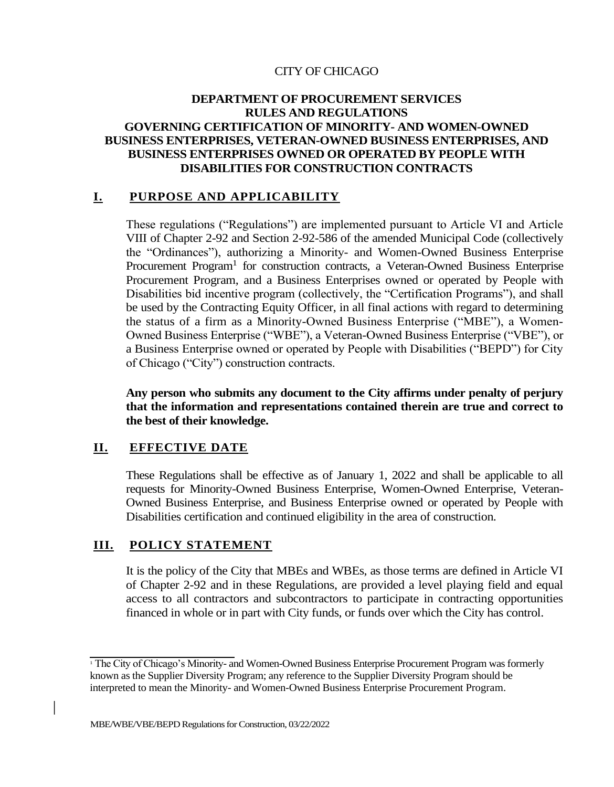#### CITY OF CHICAGO

#### **DEPARTMENT OF PROCUREMENT SERVICES RULES AND REGULATIONS GOVERNING CERTIFICATION OF MINORITY- AND WOMEN-OWNED BUSINESS ENTERPRISES, VETERAN-OWNED BUSINESS ENTERPRISES, AND BUSINESS ENTERPRISES OWNED OR OPERATED BY PEOPLE WITH DISABILITIES FOR CONSTRUCTION CONTRACTS**

#### **I. PURPOSE AND APPLICABILITY**

These regulations ("Regulations") are implemented pursuant to Article VI and Article VIII of Chapter 2-92 and Section 2-92-586 of the amended Municipal Code (collectively the "Ordinances"), authorizing a Minority- and Women-Owned Business Enterprise Procurement Program<sup>1</sup> for construction contracts, a Veteran-Owned Business Enterprise Procurement Program, and a Business Enterprises owned or operated by People with Disabilities bid incentive program (collectively, the "Certification Programs"), and shall be used by the Contracting Equity Officer, in all final actions with regard to determining the status of a firm as a Minority-Owned Business Enterprise ("MBE"), a Women-Owned Business Enterprise ("WBE"), a Veteran-Owned Business Enterprise ("VBE"), or a Business Enterprise owned or operated by People with Disabilities ("BEPD") for City of Chicago ("City") construction contracts.

**Any person who submits any document to the City affirms under penalty of perjury that the information and representations contained therein are true and correct to the best of their knowledge.**

#### **II. EFFECTIVE DATE**

These Regulations shall be effective as of January 1, 2022 and shall be applicable to all requests for Minority-Owned Business Enterprise, Women-Owned Enterprise, Veteran-Owned Business Enterprise, and Business Enterprise owned or operated by People with Disabilities certification and continued eligibility in the area of construction.

#### **III. POLICY STATEMENT**

It is the policy of the City that MBEs and WBEs, as those terms are defined in Article VI of Chapter 2-92 and in these Regulations, are provided a level playing field and equal access to all contractors and subcontractors to participate in contracting opportunities financed in whole or in part with City funds, or funds over which the City has control.

<sup>&</sup>lt;sup>1</sup> The City of Chicago's Minority- and Women-Owned Business Enterprise Procurement Program was formerly known as the Supplier Diversity Program; any reference to the Supplier Diversity Program should be interpreted to mean the Minority- and Women-Owned Business Enterprise Procurement Program.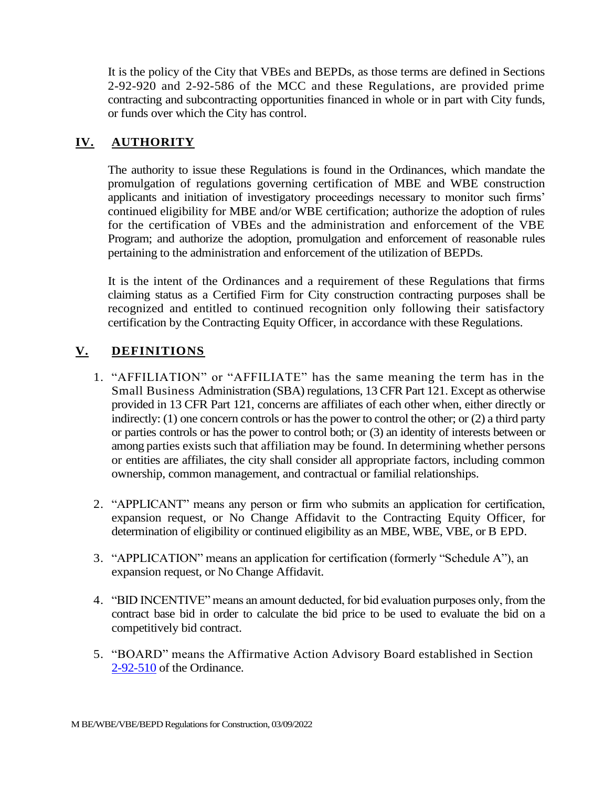It is the policy of the City that VBEs and BEPDs, as those terms are defined in Sections 2-92-920 and 2-92-586 of the MCC and these Regulations, are provided prime contracting and subcontracting opportunities financed in whole or in part with City funds, or funds over which the City has control.

# **IV. AUTHORITY**

The authority to issue these Regulations is found in the Ordinances, which mandate the promulgation of regulations governing certification of MBE and WBE construction applicants and initiation of investigatory proceedings necessary to monitor such firms' continued eligibility for MBE and/or WBE certification; authorize the adoption of rules for the certification of VBEs and the administration and enforcement of the VBE Program; and authorize the adoption, promulgation and enforcement of reasonable rules pertaining to the administration and enforcement of the utilization of BEPDs.

It is the intent of the Ordinances and a requirement of these Regulations that firms claiming status as a Certified Firm for City construction contracting purposes shall be recognized and entitled to continued recognition only following their satisfactory certification by the Contracting Equity Officer, in accordance with these Regulations.

# **V. DEFINITIONS**

- 1. "AFFILIATION" or "AFFILIATE" has the same meaning the term has in the Small Business Administration (SBA) regulations, 13 CFR Part 121. Except as otherwise provided in 13 CFR Part 121, concerns are affiliates of each other when, either directly or indirectly: (1) one concern controls or has the power to control the other; or (2) a third party or parties controls or has the power to control both; or (3) an identity of interests between or among parties exists such that affiliation may be found. In determining whether persons or entities are affiliates, the city shall consider all appropriate factors, including common ownership, common management, and contractual or familial relationships.
- 2. "APPLICANT" means any person or firm who submits an application for certification, expansion request, or No Change Affidavit to the Contracting Equity Officer, for determination of eligibility or continued eligibility as an MBE, WBE, VBE, or B EPD.
- 3. "APPLICATION" means an application for certification (formerly "Schedule A"), an expansion request, or No Change Affidavit.
- 4. "BID INCENTIVE" means an amount deducted, for bid evaluation purposes only, from the contract base bid in order to calculate the bid price to be used to evaluate the bid on a competitively bid contract.
- 5. "BOARD" means the Affirmative Action Advisory Board established in Section 2-92-510 of the Ordinance.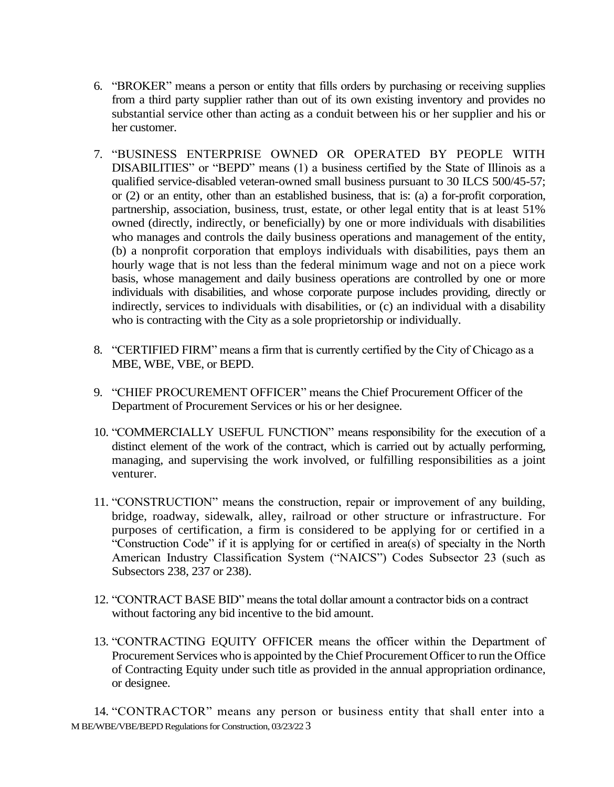- 6. "BROKER" means a person or entity that fills orders by purchasing or receiving supplies from a third party supplier rather than out of its own existing inventory and provides no substantial service other than acting as a conduit between his or her supplier and his or her customer.
- 7. "BUSINESS ENTERPRISE OWNED OR OPERATED BY PEOPLE WITH DISABILITIES" or "BEPD" means (1) a business certified by the State of Illinois as a qualified service-disabled veteran-owned small business pursuant to 30 ILCS 500/45-57; or (2) or an entity, other than an established business, that is: (a) a for-profit corporation, partnership, association, business, trust, estate, or other legal entity that is at least 51% owned (directly, indirectly, or beneficially) by one or more individuals with disabilities who manages and controls the daily business operations and management of the entity, (b) a nonprofit corporation that employs individuals with disabilities, pays them an hourly wage that is not less than the federal minimum wage and not on a piece work basis, whose management and daily business operations are controlled by one or more individuals with disabilities, and whose corporate purpose includes providing, directly or indirectly, services to individuals with disabilities, or (c) an individual with a disability who is contracting with the City as a sole proprietorship or individually.
- 8. "CERTIFIED FIRM" means a firm that is currently certified by the City of Chicago as a MBE, WBE, VBE, or BEPD.
- 9. "CHIEF PROCUREMENT OFFICER" means the Chief Procurement Officer of the Department of Procurement Services or his or her designee.
- 10. "COMMERCIALLY USEFUL FUNCTION" means responsibility for the execution of a distinct element of the work of the contract, which is carried out by actually performing, managing, and supervising the work involved, or fulfilling responsibilities as a joint venturer.
- 11. "CONSTRUCTION" means the construction, repair or improvement of any building, bridge, roadway, sidewalk, alley, railroad or other structure or infrastructure. For purposes of certification, a firm is considered to be applying for or certified in a "Construction Code" if it is applying for or certified in area(s) of specialty in the North American Industry Classification System ("NAICS") Codes Subsector 23 (such as Subsectors 238, 237 or 238).
- 12. "CONTRACT BASE BID" means the total dollar amount a contractor bids on a contract without factoring any bid incentive to the bid amount.
- 13. "CONTRACTING EQUITY OFFICER means the officer within the Department of Procurement Services who is appointed by the Chief Procurement Officer to run the Office of Contracting Equity under such title as provided in the annual appropriation ordinance, or designee.

M BE/WBE/VBE/BEPD Regulations for Construction, 03/23/22 3 14. "CONTRACTOR" means any person or business entity that shall enter into a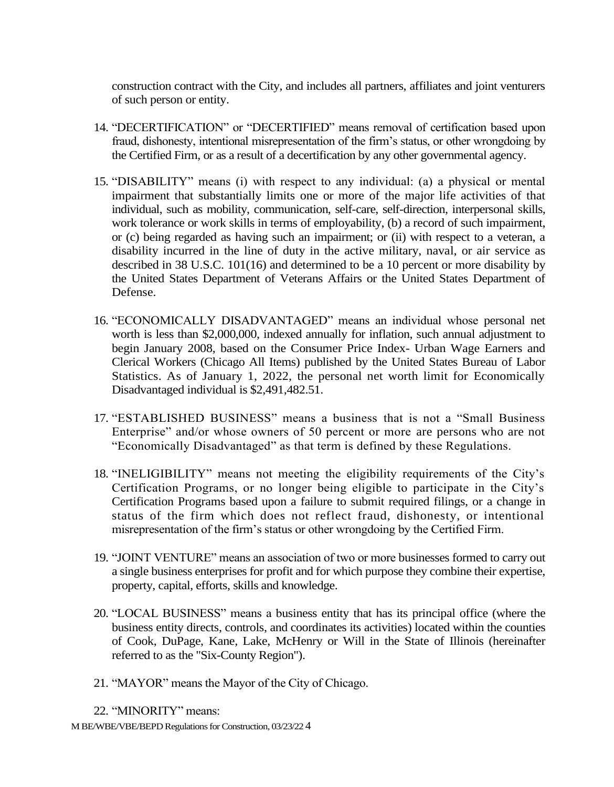construction contract with the City, and includes all partners, affiliates and joint venturers of such person or entity.

- 14. "DECERTIFICATION" or "DECERTIFIED" means removal of certification based upon fraud, dishonesty, intentional misrepresentation of the firm's status, or other wrongdoing by the Certified Firm, or as a result of a decertification by any other governmental agency.
- 15. "DISABILITY" means (i) with respect to any individual: (a) a physical or mental impairment that substantially limits one or more of the major life activities of that individual, such as mobility, communication, self-care, self-direction, interpersonal skills, work tolerance or work skills in terms of employability, (b) a record of such impairment, or (c) being regarded as having such an impairment; or (ii) with respect to a veteran, a disability incurred in the line of duty in the active military, naval, or air service as described in 38 U.S.C. 101(16) and determined to be a 10 percent or more disability by the United States Department of Veterans Affairs or the United States Department of Defense.
- 16. "ECONOMICALLY DISADVANTAGED" means an individual whose personal net worth is less than \$2,000,000, indexed annually for inflation, such annual adjustment to begin January 2008, based on the Consumer Price Index- Urban Wage Earners and Clerical Workers (Chicago All Items) published by the United States Bureau of Labor Statistics. As of January 1, 2022, the personal net worth limit for Economically Disadvantaged individual is \$2,491,482.51.
- 17. "ESTABLISHED BUSINESS" means a business that is not a "Small Business Enterprise" and/or whose owners of 50 percent or more are persons who are not "Economically Disadvantaged" as that term is defined by these Regulations.
- 18. "INELIGIBILITY" means not meeting the eligibility requirements of the City's Certification Programs, or no longer being eligible to participate in the City's Certification Programs based upon a failure to submit required filings, or a change in status of the firm which does not reflect fraud, dishonesty, or intentional misrepresentation of the firm's status or other wrongdoing by the Certified Firm.
- 19. "JOINT VENTURE" means an association of two or more businesses formed to carry out a single business enterprises for profit and for which purpose they combine their expertise, property, capital, efforts, skills and knowledge.
- 20. "LOCAL BUSINESS" means a business entity that has its principal office (where the business entity directs, controls, and coordinates its activities) located within the counties of Cook, DuPage, Kane, Lake, McHenry or Will in the State of Illinois (hereinafter referred to as the "Six-County Region").
- 21. "MAYOR" means the Mayor of the City of Chicago.

22. "MINORITY" means: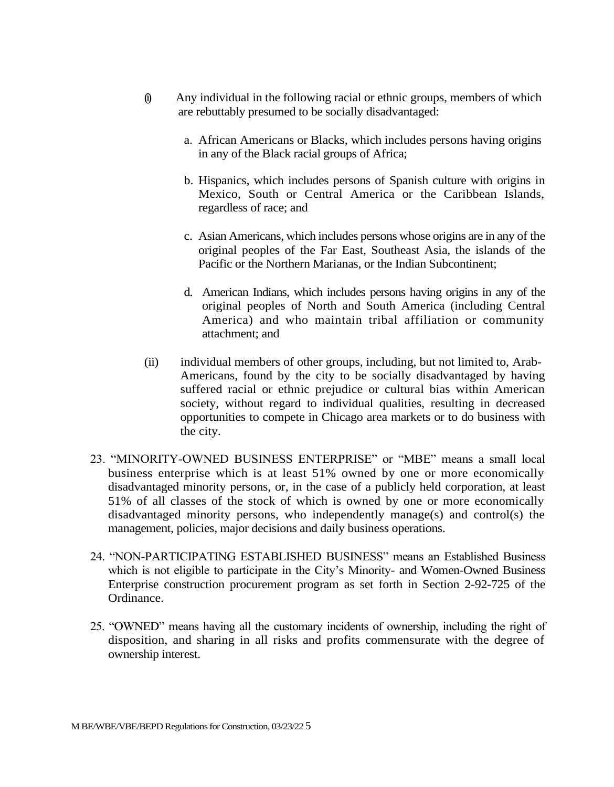- $\hat{\mathbf{u}}$  Any individual in the following racial or ethnic groups, members of which are rebuttably presumed to be socially disadvantaged:
	- a. African Americans or Blacks, which includes persons having origins in any of the Black racial groups of Africa;
	- b. Hispanics, which includes persons of Spanish culture with origins in Mexico, South or Central America or the Caribbean Islands, regardless of race; and
	- c. Asian Americans, which includes persons whose origins are in any of the original peoples of the Far East, Southeast Asia, the islands of the Pacific or the Northern Marianas, or the Indian Subcontinent;
	- d. American Indians, which includes persons having origins in any of the original peoples of North and South America (including Central America) and who maintain tribal affiliation or community attachment; and
- (ii) individual members of other groups, including, but not limited to, Arab-Americans, found by the city to be socially disadvantaged by having suffered racial or ethnic prejudice or cultural bias within American society, without regard to individual qualities, resulting in decreased opportunities to compete in Chicago area markets or to do business with the city.
- 23. "MINORITY-OWNED BUSINESS ENTERPRISE" or "MBE" means a small local business enterprise which is at least 51% owned by one or more economically disadvantaged minority persons, or, in the case of a publicly held corporation, at least 51% of all classes of the stock of which is owned by one or more economically disadvantaged minority persons, who independently manage(s) and control(s) the management, policies, major decisions and daily business operations.
- 24. "NON-PARTICIPATING ESTABLISHED BUSINESS" means an Established Business which is not eligible to participate in the City's Minority- and Women-Owned Business Enterprise construction procurement program as set forth in Section 2-92-725 of the Ordinance.
- 25. "OWNED" means having all the customary incidents of ownership, including the right of disposition, and sharing in all risks and profits commensurate with the degree of ownership interest.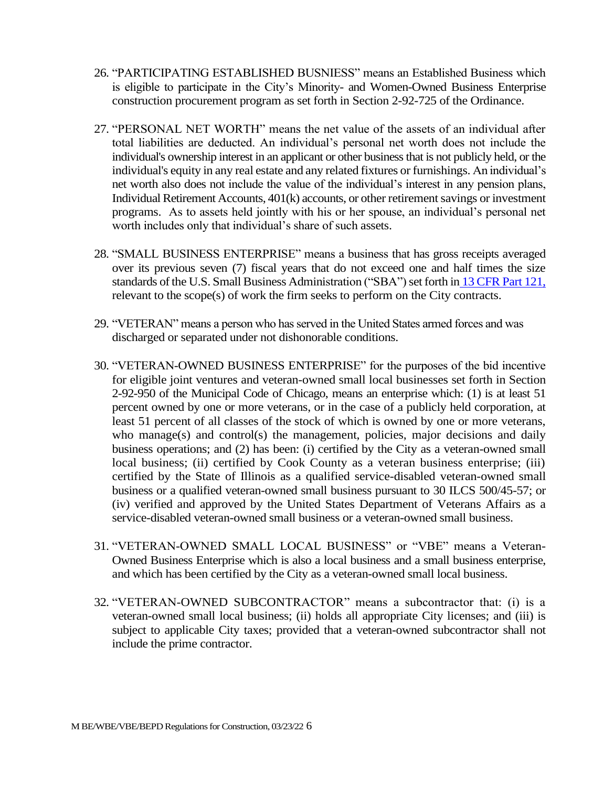- 26. "PARTICIPATING ESTABLISHED BUSNIESS" means an Established Business which is eligible to participate in the City's Minority- and Women-Owned Business Enterprise construction procurement program as set forth in Section 2-92-725 of the Ordinance.
- 27. "PERSONAL NET WORTH" means the net value of the assets of an individual after total liabilities are deducted. An individual's personal net worth does not include the individual's ownership interest in an applicant or other business that is not publicly held, or the individual's equity in any real estate and any related fixtures or furnishings. An individual's net worth also does not include the value of the individual's interest in any pension plans, Individual Retirement Accounts, 401(k) accounts, or other retirement savings or investment programs. As to assets held jointly with his or her spouse, an individual's personal net worth includes only that individual's share of such assets.
- 28. "SMALL BUSINESS ENTERPRISE" means a business that has gross receipts averaged over its previous seven (7) fiscal years that do not exceed one and half times the size standards of the U.S. Small Business Administration ("SBA") set forth in 13 CFR Part 121, relevant to the scope(s) of work the firm seeks to perform on the City contracts.
- 29. "VETERAN" means a person who has served in the United States armed forces and was discharged or separated under not dishonorable conditions.
- 30. "VETERAN-OWNED BUSINESS ENTERPRISE" for the purposes of the bid incentive for eligible joint ventures and veteran-owned small local businesses set forth in Section 2-92-950 of the Municipal Code of Chicago, means an enterprise which: (1) is at least 51 percent owned by one or more veterans, or in the case of a publicly held corporation, at least 51 percent of all classes of the stock of which is owned by one or more veterans, who manage(s) and control(s) the management, policies, major decisions and daily business operations; and (2) has been: (i) certified by the City as a veteran-owned small local business; (ii) certified by Cook County as a veteran business enterprise; (iii) certified by the State of Illinois as a qualified service-disabled veteran-owned small business or a qualified veteran-owned small business pursuant to 30 ILCS 500/45-57; or (iv) verified and approved by the United States Department of Veterans Affairs as a service-disabled veteran-owned small business or a veteran-owned small business.
- 31. "VETERAN-OWNED SMALL LOCAL BUSINESS" or "VBE" means a Veteran-Owned Business Enterprise which is also a local business and a small business enterprise, and which has been certified by the City as a veteran-owned small local business.
- 32. "VETERAN-OWNED SUBCONTRACTOR" means a subcontractor that: (i) is a veteran-owned small local business; (ii) holds all appropriate City licenses; and (iii) is subject to applicable City taxes; provided that a veteran-owned subcontractor shall not include the prime contractor.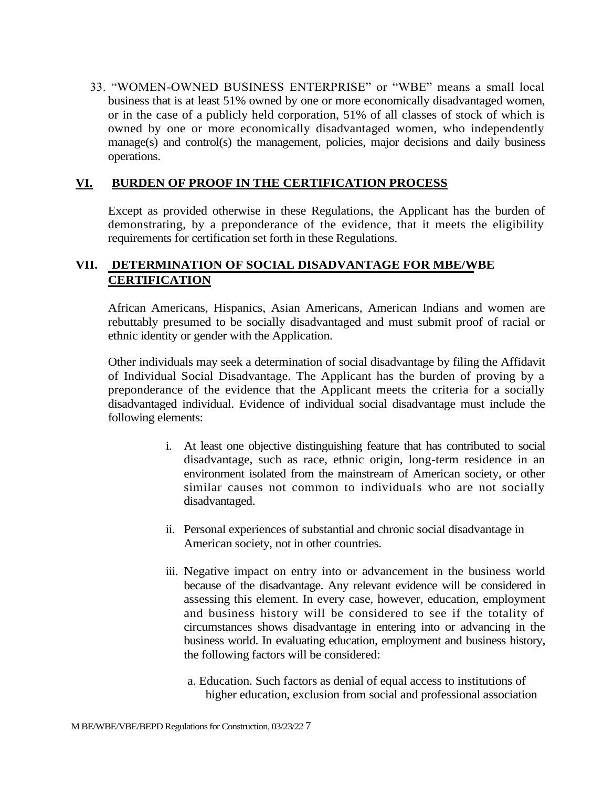33. "WOMEN-OWNED BUSINESS ENTERPRISE" or "WBE" means a small local business that is at least 51% owned by one or more economically disadvantaged women, or in the case of a publicly held corporation, 51% of all classes of stock of which is owned by one or more economically disadvantaged women, who independently manage(s) and control(s) the management, policies, major decisions and daily business operations.

#### **VI. BURDEN OF PROOF IN THE CERTIFICATION PROCESS**

Except as provided otherwise in these Regulations, the Applicant has the burden of demonstrating, by a preponderance of the evidence, that it meets the eligibility requirements for certification set forth in these Regulations.

# **VII. DETERMINATION OF SOCIAL DISADVANTAGE FOR MBE/WBE CERTIFICATION**

African Americans, Hispanics, Asian Americans, American Indians and women are rebuttably presumed to be socially disadvantaged and must submit proof of racial or ethnic identity or gender with the Application.

Other individuals may seek a determination of social disadvantage by filing the Affidavit of Individual Social Disadvantage. The Applicant has the burden of proving by a preponderance of the evidence that the Applicant meets the criteria for a socially disadvantaged individual. Evidence of individual social disadvantage must include the following elements:

- i. At least one objective distinguishing feature that has contributed to social disadvantage, such as race, ethnic origin, long-term residence in an environment isolated from the mainstream of American society, or other similar causes not common to individuals who are not socially disadvantaged.
- ii. Personal experiences of substantial and chronic social disadvantage in American society, not in other countries.
- iii. Negative impact on entry into or advancement in the business world because of the disadvantage. Any relevant evidence will be considered in assessing this element. In every case, however, education, employment and business history will be considered to see if the totality of circumstances shows disadvantage in entering into or advancing in the business world. In evaluating education, employment and business history, the following factors will be considered:
	- a. Education. Such factors as denial of equal access to institutions of higher education, exclusion from social and professional association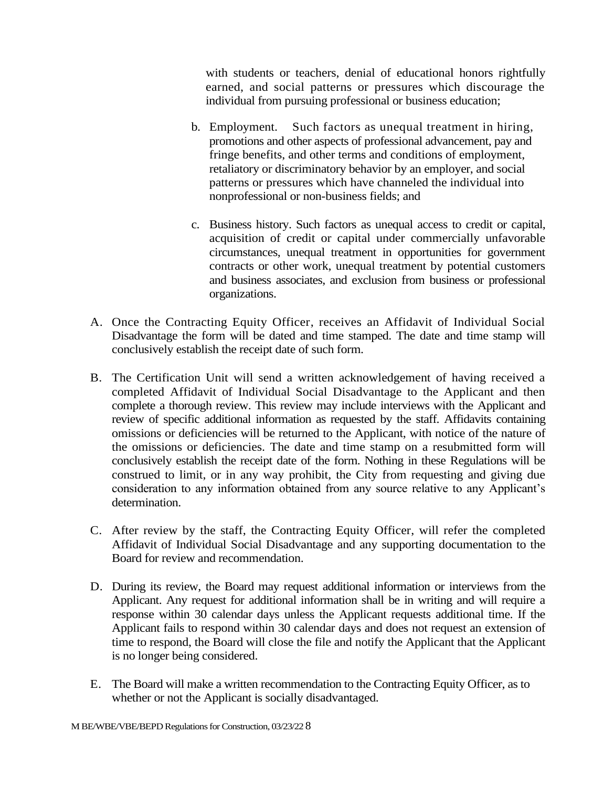with students or teachers, denial of educational honors rightfully earned, and social patterns or pressures which discourage the individual from pursuing professional or business education;

- b. Employment. Such factors as unequal treatment in hiring, promotions and other aspects of professional advancement, pay and fringe benefits, and other terms and conditions of employment, retaliatory or discriminatory behavior by an employer, and social patterns or pressures which have channeled the individual into nonprofessional or non-business fields; and
- c. Business history. Such factors as unequal access to credit or capital, acquisition of credit or capital under commercially unfavorable circumstances, unequal treatment in opportunities for government contracts or other work, unequal treatment by potential customers and business associates, and exclusion from business or professional organizations.
- A. Once the Contracting Equity Officer, receives an Affidavit of Individual Social Disadvantage the form will be dated and time stamped. The date and time stamp will conclusively establish the receipt date of such form.
- B. The Certification Unit will send a written acknowledgement of having received a completed Affidavit of Individual Social Disadvantage to the Applicant and then complete a thorough review. This review may include interviews with the Applicant and review of specific additional information as requested by the staff. Affidavits containing omissions or deficiencies will be returned to the Applicant, with notice of the nature of the omissions or deficiencies. The date and time stamp on a resubmitted form will conclusively establish the receipt date of the form. Nothing in these Regulations will be construed to limit, or in any way prohibit, the City from requesting and giving due consideration to any information obtained from any source relative to any Applicant's determination.
- C. After review by the staff, the Contracting Equity Officer, will refer the completed Affidavit of Individual Social Disadvantage and any supporting documentation to the Board for review and recommendation.
- D. During its review, the Board may request additional information or interviews from the Applicant. Any request for additional information shall be in writing and will require a response within 30 calendar days unless the Applicant requests additional time. If the Applicant fails to respond within 30 calendar days and does not request an extension of time to respond, the Board will close the file and notify the Applicant that the Applicant is no longer being considered.
- E. The Board will make a written recommendation to the Contracting Equity Officer, as to whether or not the Applicant is socially disadvantaged.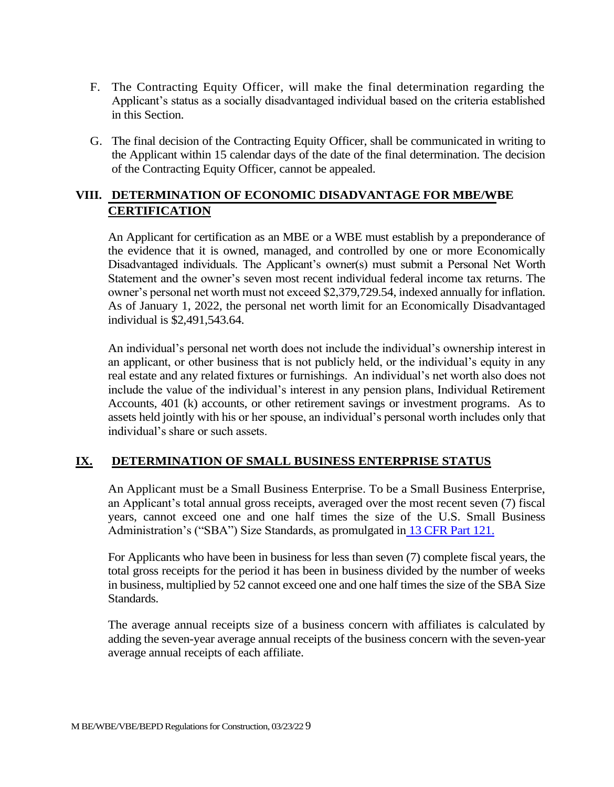- F. The Contracting Equity Officer, will make the final determination regarding the Applicant's status as a socially disadvantaged individual based on the criteria established in this Section.
- G. The final decision of the Contracting Equity Officer, shall be communicated in writing to the Applicant within 15 calendar days of the date of the final determination. The decision of the Contracting Equity Officer, cannot be appealed.

# **VIII. DETERMINATION OF ECONOMIC DISADVANTAGE FOR MBE/WBE CERTIFICATION**

An Applicant for certification as an MBE or a WBE must establish by a preponderance of the evidence that it is owned, managed, and controlled by one or more Economically Disadvantaged individuals. The Applicant's owner(s) must submit a Personal Net Worth Statement and the owner's seven most recent individual federal income tax returns. The owner's personal net worth must not exceed \$2,379,729.54, indexed annually for inflation. As of January 1, 2022, the personal net worth limit for an Economically Disadvantaged individual is \$2,491,543.64.

An individual's personal net worth does not include the individual's ownership interest in an applicant, or other business that is not publicly held, or the individual's equity in any real estate and any related fixtures or furnishings. An individual's net worth also does not include the value of the individual's interest in any pension plans, Individual Retirement Accounts, 401 (k) accounts, or other retirement savings or investment programs. As to assets held jointly with his or her spouse, an individual's personal worth includes only that individual's share or such assets.

#### **IX. DETERMINATION OF SMALL BUSINESS ENTERPRISE STATUS**

An Applicant must be a Small Business Enterprise. To be a Small Business Enterprise, an Applicant's total annual gross receipts, averaged over the most recent seven (7) fiscal years, cannot exceed one and one half times the size of the U.S. Small Business Administration's ("SBA") Size Standards, as promulgated in 13 CFR Part 121.

For Applicants who have been in business for less than seven (7) complete fiscal years, the total gross receipts for the period it has been in business divided by the number of weeks in business, multiplied by 52 cannot exceed one and one half times the size of the SBA Size Standards.

The average annual receipts size of a business concern with affiliates is calculated by adding the seven-year average annual receipts of the business concern with the seven-year average annual receipts of each affiliate.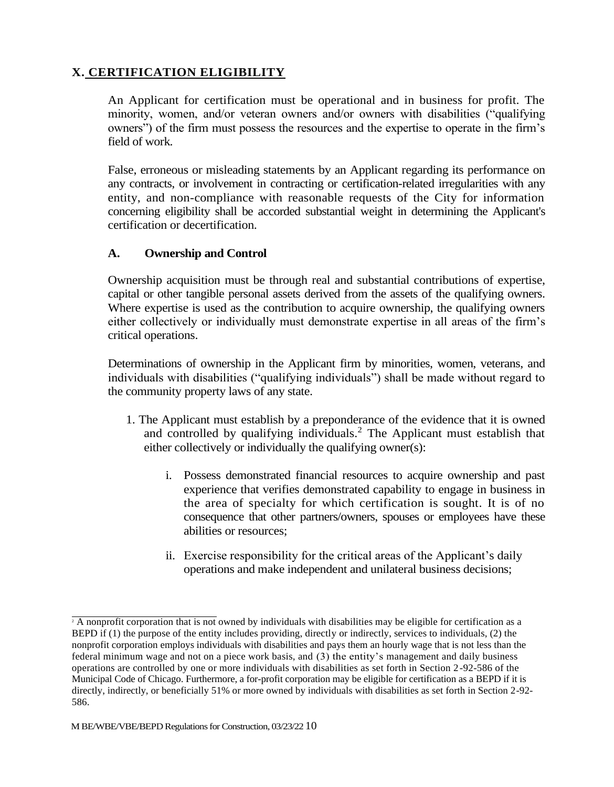# **X. CERTIFICATION ELIGIBILITY**

An Applicant for certification must be operational and in business for profit. The minority, women, and/or veteran owners and/or owners with disabilities ("qualifying owners") of the firm must possess the resources and the expertise to operate in the firm's field of work.

False, erroneous or misleading statements by an Applicant regarding its performance on any contracts, or involvement in contracting or certification-related irregularities with any entity, and non-compliance with reasonable requests of the City for information concerning eligibility shall be accorded substantial weight in determining the Applicant's certification or decertification.

## **A. Ownership and Control**

Ownership acquisition must be through real and substantial contributions of expertise, capital or other tangible personal assets derived from the assets of the qualifying owners. Where expertise is used as the contribution to acquire ownership, the qualifying owners either collectively or individually must demonstrate expertise in all areas of the firm's critical operations.

Determinations of ownership in the Applicant firm by minorities, women, veterans, and individuals with disabilities ("qualifying individuals") shall be made without regard to the community property laws of any state.

- 1. The Applicant must establish by a preponderance of the evidence that it is owned and controlled by qualifying individuals.<sup>2</sup> The Applicant must establish that either collectively or individually the qualifying owner(s):
	- i. Possess demonstrated financial resources to acquire ownership and past experience that verifies demonstrated capability to engage in business in the area of specialty for which certification is sought. It is of no consequence that other partners/owners, spouses or employees have these abilities or resources;
	- ii. Exercise responsibility for the critical areas of the Applicant's daily operations and make independent and unilateral business decisions;

 $\frac{1}{2}$  A nonprofit corporation that is not owned by individuals with disabilities may be eligible for certification as a BEPD if (1) the purpose of the entity includes providing, directly or indirectly, services to individuals, (2) the nonprofit corporation employs individuals with disabilities and pays them an hourly wage that is not less than the federal minimum wage and not on a piece work basis, and (3) the entity's management and daily business operations are controlled by one or more individuals with disabilities as set forth in Section 2 -92-586 of the Municipal Code of Chicago. Furthermore, a for-profit corporation may be eligible for certification as a BEPD if it is directly, indirectly, or beneficially 51% or more owned by individuals with disabilities as set forth in Section 2-92- 586.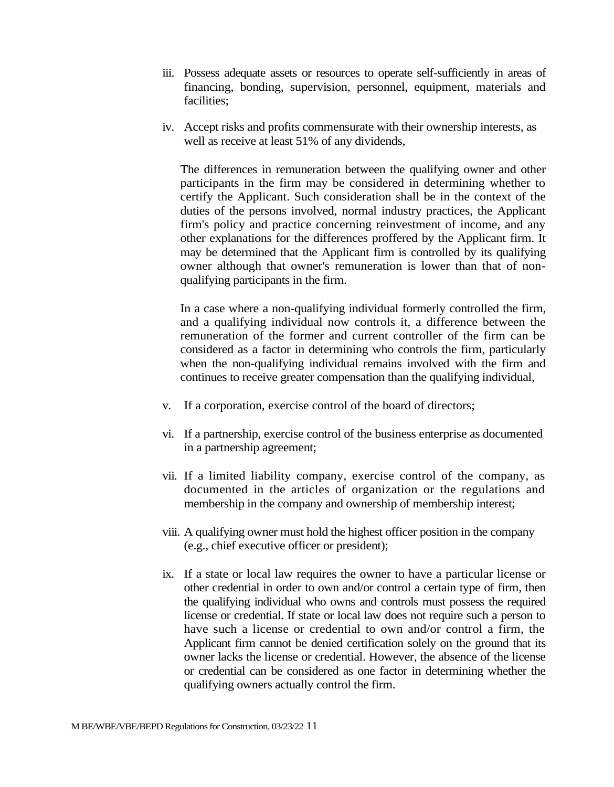- iii. Possess adequate assets or resources to operate self-sufficiently in areas of financing, bonding, supervision, personnel, equipment, materials and facilities;
- iv. Accept risks and profits commensurate with their ownership interests, as well as receive at least 51% of any dividends,

The differences in remuneration between the qualifying owner and other participants in the firm may be considered in determining whether to certify the Applicant. Such consideration shall be in the context of the duties of the persons involved, normal industry practices, the Applicant firm's policy and practice concerning reinvestment of income, and any other explanations for the differences proffered by the Applicant firm. It may be determined that the Applicant firm is controlled by its qualifying owner although that owner's remuneration is lower than that of nonqualifying participants in the firm.

In a case where a non-qualifying individual formerly controlled the firm, and a qualifying individual now controls it, a difference between the remuneration of the former and current controller of the firm can be considered as a factor in determining who controls the firm, particularly when the non-qualifying individual remains involved with the firm and continues to receive greater compensation than the qualifying individual,

- v. If a corporation, exercise control of the board of directors;
- vi. If a partnership, exercise control of the business enterprise as documented in a partnership agreement;
- vii. If a limited liability company, exercise control of the company, as documented in the articles of organization or the regulations and membership in the company and ownership of membership interest;
- viii. A qualifying owner must hold the highest officer position in the company (e.g., chief executive officer or president);
- ix. If a state or local law requires the owner to have a particular license or other credential in order to own and/or control a certain type of firm, then the qualifying individual who owns and controls must possess the required license or credential. If state or local law does not require such a person to have such a license or credential to own and/or control a firm, the Applicant firm cannot be denied certification solely on the ground that its owner lacks the license or credential. However, the absence of the license or credential can be considered as one factor in determining whether the qualifying owners actually control the firm.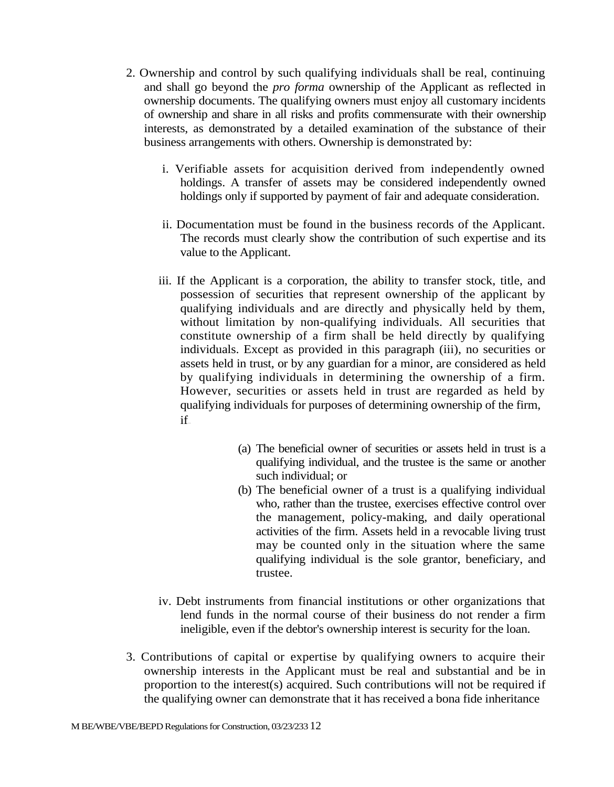- 2. Ownership and control by such qualifying individuals shall be real, continuing and shall go beyond the *pro forma* ownership of the Applicant as reflected in ownership documents. The qualifying owners must enjoy all customary incidents of ownership and share in all risks and profits commensurate with their ownership interests, as demonstrated by a detailed examination of the substance of their business arrangements with others. Ownership is demonstrated by:
	- i. Verifiable assets for acquisition derived from independently owned holdings. A transfer of assets may be considered independently owned holdings only if supported by payment of fair and adequate consideration.
	- ii. Documentation must be found in the business records of the Applicant. The records must clearly show the contribution of such expertise and its value to the Applicant.
	- iii. If the Applicant is a corporation, the ability to transfer stock, title, and possession of securities that represent ownership of the applicant by qualifying individuals and are directly and physically held by them, without limitation by non-qualifying individuals. All securities that constitute ownership of a firm shall be held directly by qualifying individuals. Except as provided in this paragraph (iii), no securities or assets held in trust, or by any guardian for a minor, are considered as held by qualifying individuals in determining the ownership of a firm. However, securities or assets held in trust are regarded as held by qualifying individuals for purposes of determining ownership of the firm, if—
		- (a) The beneficial owner of securities or assets held in trust is a qualifying individual, and the trustee is the same or another such individual; or
		- (b) The beneficial owner of a trust is a qualifying individual who, rather than the trustee, exercises effective control over the management, policy-making, and daily operational activities of the firm. Assets held in a revocable living trust may be counted only in the situation where the same qualifying individual is the sole grantor, beneficiary, and trustee.
	- iv. Debt instruments from financial institutions or other organizations that lend funds in the normal course of their business do not render a firm ineligible, even if the debtor's ownership interest is security for the loan.
- 3. Contributions of capital or expertise by qualifying owners to acquire their ownership interests in the Applicant must be real and substantial and be in proportion to the interest(s) acquired. Such contributions will not be required if the qualifying owner can demonstrate that it has received a bona fide inheritance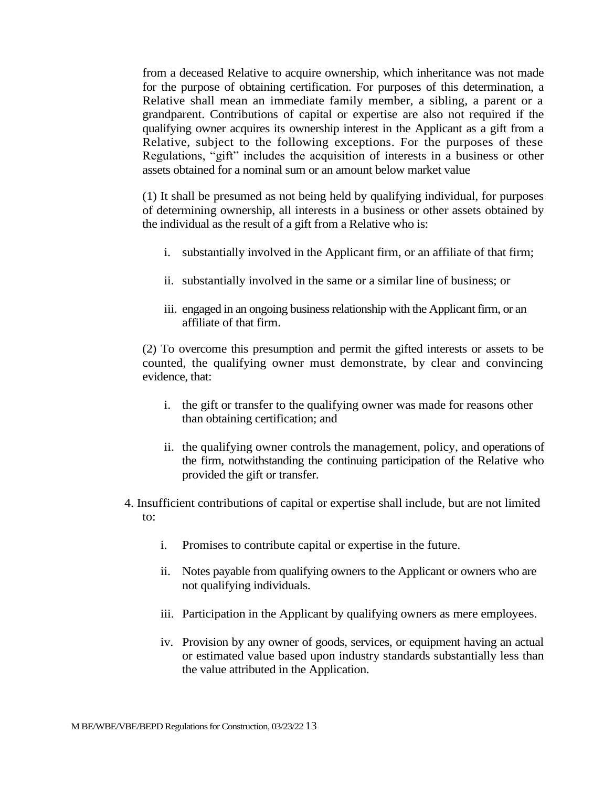from a deceased Relative to acquire ownership, which inheritance was not made for the purpose of obtaining certification. For purposes of this determination, a Relative shall mean an immediate family member, a sibling, a parent or a grandparent. Contributions of capital or expertise are also not required if the qualifying owner acquires its ownership interest in the Applicant as a gift from a Relative, subject to the following exceptions. For the purposes of these Regulations, "gift" includes the acquisition of interests in a business or other assets obtained for a nominal sum or an amount below market value

(1) It shall be presumed as not being held by qualifying individual, for purposes of determining ownership, all interests in a business or other assets obtained by the individual as the result of a gift from a Relative who is:

- i. substantially involved in the Applicant firm, or an affiliate of that firm;
- ii. substantially involved in the same or a similar line of business; or
- iii. engaged in an ongoing business relationship with the Applicant firm, or an affiliate of that firm.

(2) To overcome this presumption and permit the gifted interests or assets to be counted, the qualifying owner must demonstrate, by clear and convincing evidence, that:

- i. the gift or transfer to the qualifying owner was made for reasons other than obtaining certification; and
- ii. the qualifying owner controls the management, policy, and operations of the firm, notwithstanding the continuing participation of the Relative who provided the gift or transfer.
- 4. Insufficient contributions of capital or expertise shall include, but are not limited to:
	- i. Promises to contribute capital or expertise in the future.
	- ii. Notes payable from qualifying owners to the Applicant or owners who are not qualifying individuals.
	- iii. Participation in the Applicant by qualifying owners as mere employees.
	- iv. Provision by any owner of goods, services, or equipment having an actual or estimated value based upon industry standards substantially less than the value attributed in the Application.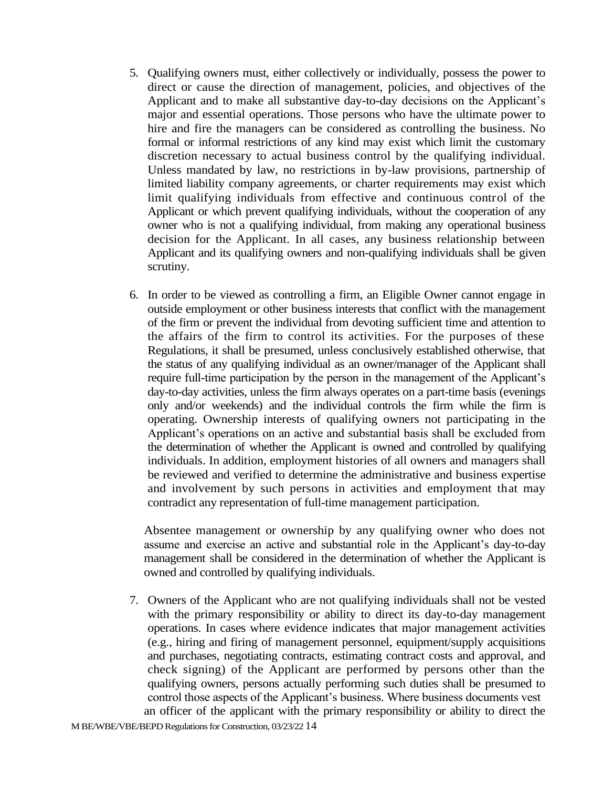- 5. Qualifying owners must, either collectively or individually, possess the power to direct or cause the direction of management, policies, and objectives of the Applicant and to make all substantive day-to-day decisions on the Applicant's major and essential operations. Those persons who have the ultimate power to hire and fire the managers can be considered as controlling the business. No formal or informal restrictions of any kind may exist which limit the customary discretion necessary to actual business control by the qualifying individual. Unless mandated by law, no restrictions in by-law provisions, partnership of limited liability company agreements, or charter requirements may exist which limit qualifying individuals from effective and continuous control of the Applicant or which prevent qualifying individuals, without the cooperation of any owner who is not a qualifying individual, from making any operational business decision for the Applicant. In all cases, any business relationship between Applicant and its qualifying owners and non-qualifying individuals shall be given scrutiny.
- 6. In order to be viewed as controlling a firm, an Eligible Owner cannot engage in outside employment or other business interests that conflict with the management of the firm or prevent the individual from devoting sufficient time and attention to the affairs of the firm to control its activities. For the purposes of these Regulations, it shall be presumed, unless conclusively established otherwise, that the status of any qualifying individual as an owner/manager of the Applicant shall require full-time participation by the person in the management of the Applicant's day-to-day activities, unless the firm always operates on a part-time basis (evenings only and/or weekends) and the individual controls the firm while the firm is operating. Ownership interests of qualifying owners not participating in the Applicant's operations on an active and substantial basis shall be excluded from the determination of whether the Applicant is owned and controlled by qualifying individuals. In addition, employment histories of all owners and managers shall be reviewed and verified to determine the administrative and business expertise and involvement by such persons in activities and employment that may contradict any representation of full-time management participation.

Absentee management or ownership by any qualifying owner who does not assume and exercise an active and substantial role in the Applicant's day-to-day management shall be considered in the determination of whether the Applicant is owned and controlled by qualifying individuals.

7. Owners of the Applicant who are not qualifying individuals shall not be vested with the primary responsibility or ability to direct its day-to-day management operations. In cases where evidence indicates that major management activities (e.g., hiring and firing of management personnel, equipment/supply acquisitions and purchases, negotiating contracts, estimating contract costs and approval, and check signing) of the Applicant are performed by persons other than the qualifying owners, persons actually performing such duties shall be presumed to control those aspects of the Applicant's business. Where business documents vest an officer of the applicant with the primary responsibility or ability to direct the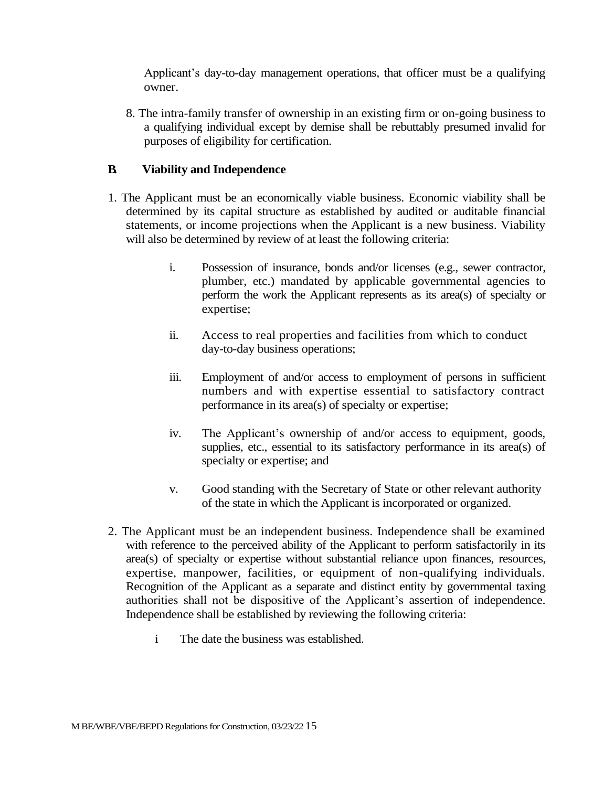Applicant's day-to-day management operations, that officer must be a qualifying owner.

8. The intra-family transfer of ownership in an existing firm or on-going business to a qualifying individual except by demise shall be rebuttably presumed invalid for purposes of eligibility for certification.

#### **B. Viability and Independence**

- 1. The Applicant must be an economically viable business. Economic viability shall be determined by its capital structure as established by audited or auditable financial statements, or income projections when the Applicant is a new business. Viability will also be determined by review of at least the following criteria:
	- i. Possession of insurance, bonds and/or licenses (e.g., sewer contractor, plumber, etc.) mandated by applicable governmental agencies to perform the work the Applicant represents as its area(s) of specialty or expertise;
	- ii. Access to real properties and facilities from which to conduct day-to-day business operations;
	- iii. Employment of and/or access to employment of persons in sufficient numbers and with expertise essential to satisfactory contract performance in its area(s) of specialty or expertise;
	- iv. The Applicant's ownership of and/or access to equipment, goods, supplies, etc., essential to its satisfactory performance in its area(s) of specialty or expertise; and
	- v. Good standing with the Secretary of State or other relevant authority of the state in which the Applicant is incorporated or organized.
- 2. The Applicant must be an independent business. Independence shall be examined with reference to the perceived ability of the Applicant to perform satisfactorily in its area(s) of specialty or expertise without substantial reliance upon finances, resources, expertise, manpower, facilities, or equipment of non-qualifying individuals. Recognition of the Applicant as a separate and distinct entity by governmental taxing authorities shall not be dispositive of the Applicant's assertion of independence. Independence shall be established by reviewing the following criteria:
	- i. The date the business was established.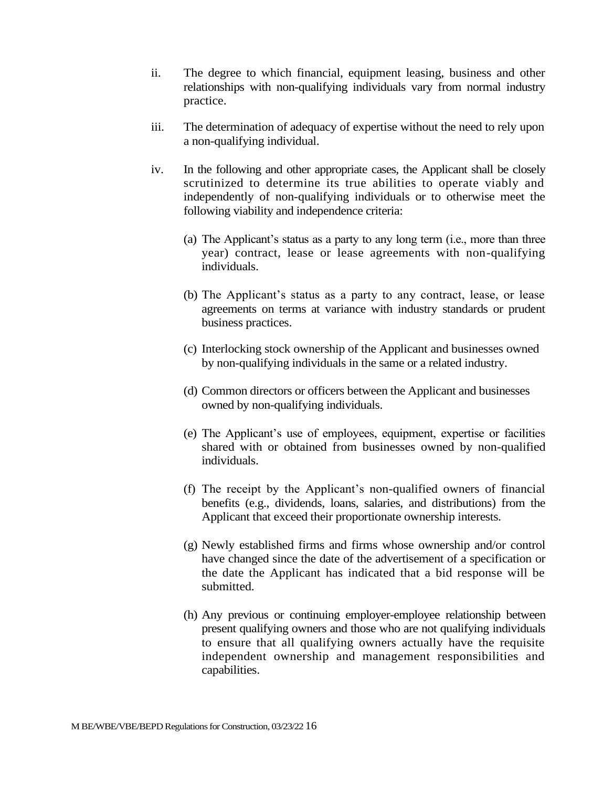- ii. The degree to which financial, equipment leasing, business and other relationships with non-qualifying individuals vary from normal industry practice.
- iii. The determination of adequacy of expertise without the need to rely upon a non-qualifying individual.
- iv. In the following and other appropriate cases, the Applicant shall be closely scrutinized to determine its true abilities to operate viably and independently of non-qualifying individuals or to otherwise meet the following viability and independence criteria:
	- (a) The Applicant's status as a party to any long term (i.e., more than three year) contract, lease or lease agreements with non-qualifying individuals.
	- (b) The Applicant's status as a party to any contract, lease, or lease agreements on terms at variance with industry standards or prudent business practices.
	- (c) Interlocking stock ownership of the Applicant and businesses owned by non-qualifying individuals in the same or a related industry.
	- (d) Common directors or officers between the Applicant and businesses owned by non-qualifying individuals.
	- (e) The Applicant's use of employees, equipment, expertise or facilities shared with or obtained from businesses owned by non-qualified individuals.
	- (f) The receipt by the Applicant's non-qualified owners of financial benefits (e.g., dividends, loans, salaries, and distributions) from the Applicant that exceed their proportionate ownership interests.
	- (g) Newly established firms and firms whose ownership and/or control have changed since the date of the advertisement of a specification or the date the Applicant has indicated that a bid response will be submitted.
	- (h) Any previous or continuing employer-employee relationship between present qualifying owners and those who are not qualifying individuals to ensure that all qualifying owners actually have the requisite independent ownership and management responsibilities and capabilities.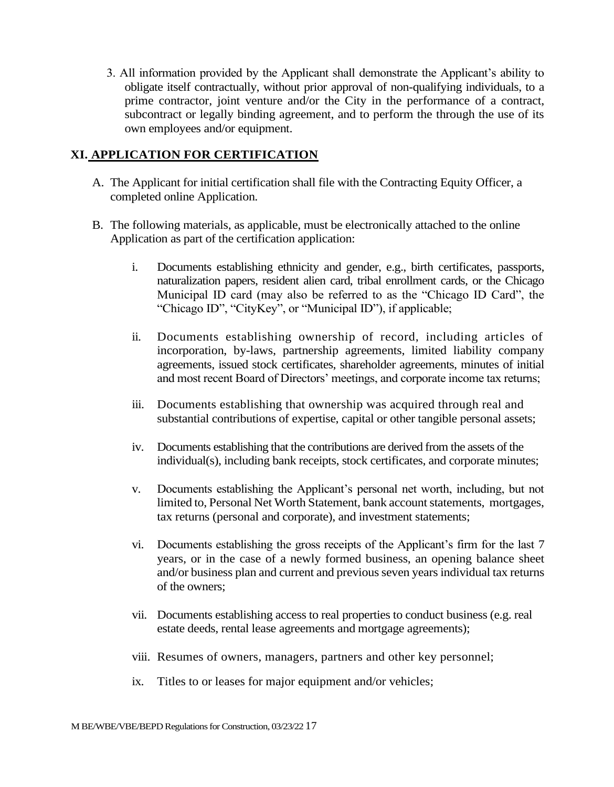3. All information provided by the Applicant shall demonstrate the Applicant's ability to obligate itself contractually, without prior approval of non-qualifying individuals, to a prime contractor, joint venture and/or the City in the performance of a contract, subcontract or legally binding agreement, and to perform the through the use of its own employees and/or equipment.

#### **XI. APPLICATION FOR CERTIFICATION**

- A. The Applicant for initial certification shall file with the Contracting Equity Officer, a completed online Application.
- B. The following materials, as applicable, must be electronically attached to the online Application as part of the certification application:
	- i. Documents establishing ethnicity and gender, e.g., birth certificates, passports, naturalization papers, resident alien card, tribal enrollment cards, or the Chicago Municipal ID card (may also be referred to as the "Chicago ID Card", the "Chicago ID", "CityKey", or "Municipal ID"), if applicable;
	- ii. Documents establishing ownership of record, including articles of incorporation, by-laws, partnership agreements, limited liability company agreements, issued stock certificates, shareholder agreements, minutes of initial and most recent Board of Directors' meetings, and corporate income tax returns;
	- iii. Documents establishing that ownership was acquired through real and substantial contributions of expertise, capital or other tangible personal assets;
	- iv. Documents establishing that the contributions are derived from the assets of the individual(s), including bank receipts, stock certificates, and corporate minutes;
	- v. Documents establishing the Applicant's personal net worth, including, but not limited to, Personal Net Worth Statement, bank account statements, mortgages, tax returns (personal and corporate), and investment statements;
	- vi. Documents establishing the gross receipts of the Applicant's firm for the last 7 years, or in the case of a newly formed business, an opening balance sheet and/or business plan and current and previous seven years individual tax returns of the owners;
	- vii. Documents establishing access to real properties to conduct business (e.g. real estate deeds, rental lease agreements and mortgage agreements);
	- viii. Resumes of owners, managers, partners and other key personnel;
	- ix. Titles to or leases for major equipment and/or vehicles;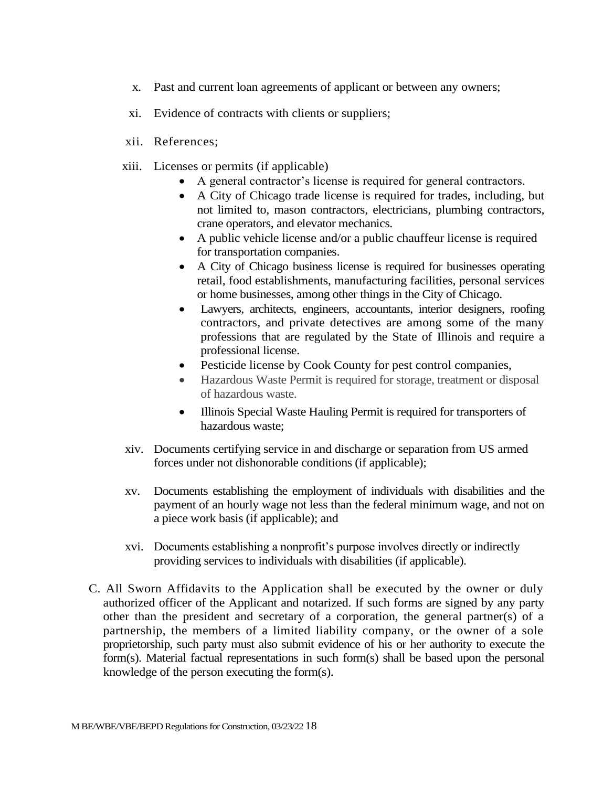- x. Past and current loan agreements of applicant or between any owners;
- xi. Evidence of contracts with clients or suppliers;
- xii. References;
- xiii. Licenses or permits (if applicable)
	- A general contractor's license is required for general contractors.
	- A City of Chicago trade license is required for trades, including, but not limited to, mason contractors, electricians, plumbing contractors, crane operators, and elevator mechanics.
	- A public vehicle license and/or a public chauffeur license is required for transportation companies.
	- A City of Chicago business license is required for businesses operating retail, food establishments, manufacturing facilities, personal services or home businesses, among other things in the City of Chicago.
	- Lawyers, architects, engineers, accountants, interior designers, roofing contractors, and private detectives are among some of the many professions that are regulated by the State of Illinois and require a professional license.
	- Pesticide license by Cook County for pest control companies,
	- Hazardous Waste Permit is required for storage, treatment or disposal of hazardous waste.
	- Illinois Special Waste Hauling Permit is required for transporters of hazardous waste;
- xiv. Documents certifying service in and discharge or separation from US armed forces under not dishonorable conditions (if applicable);
- xv. Documents establishing the employment of individuals with disabilities and the payment of an hourly wage not less than the federal minimum wage, and not on a piece work basis (if applicable); and
- xvi. Documents establishing a nonprofit's purpose involves directly or indirectly providing services to individuals with disabilities (if applicable).
- C. All Sworn Affidavits to the Application shall be executed by the owner or duly authorized officer of the Applicant and notarized. If such forms are signed by any party other than the president and secretary of a corporation, the general partner(s) of a partnership, the members of a limited liability company, or the owner of a sole proprietorship, such party must also submit evidence of his or her authority to execute the form(s). Material factual representations in such form(s) shall be based upon the personal knowledge of the person executing the form(s).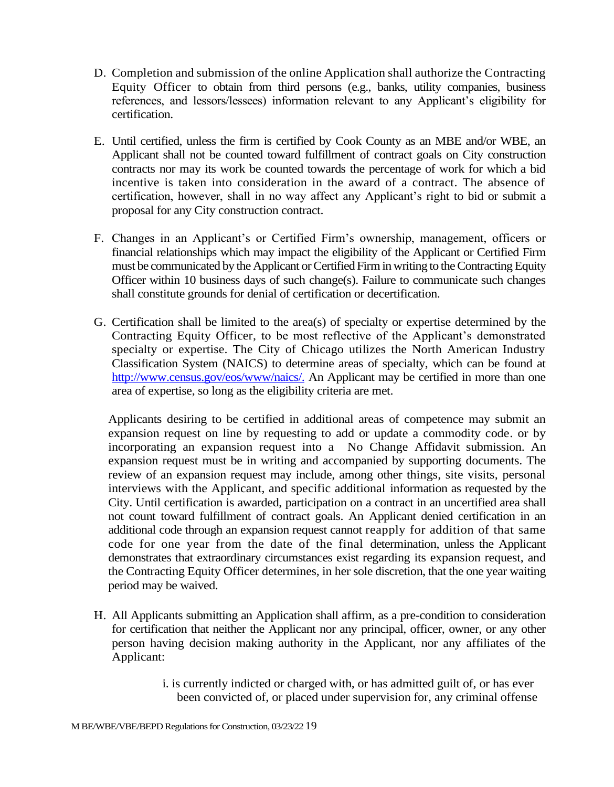- D. Completion and submission of the online Application shall authorize the Contracting Equity Officer to obtain from third persons (e.g., banks, utility companies, business references, and lessors/lessees) information relevant to any Applicant's eligibility for certification.
- E. Until certified, unless the firm is certified by Cook County as an MBE and/or WBE, an Applicant shall not be counted toward fulfillment of contract goals on City construction contracts nor may its work be counted towards the percentage of work for which a bid incentive is taken into consideration in the award of a contract. The absence of certification, however, shall in no way affect any Applicant's right to bid or submit a proposal for any City construction contract.
- F. Changes in an Applicant's or Certified Firm's ownership, management, officers or financial relationships which may impact the eligibility of the Applicant or Certified Firm must be communicated by the Applicant or Certified Firm in writing to the Contracting Equity Officer within 10 business days of such change(s). Failure to communicate such changes shall constitute grounds for denial of certification or decertification.
- G. Certification shall be limited to the area(s) of specialty or expertise determined by the Contracting Equity Officer, to be most reflective of the Applicant's demonstrated specialty or expertise. The City of Chicago utilizes the North American Industry Classification System (NAICS) to determine areas of specialty, which can be found at [http://www.census.gov/eos/www/naics/.](http://www.census.gov/eos/www/naics/) An Applicant may be certified in more than one area of expertise, so long as the eligibility criteria are met.

Applicants desiring to be certified in additional areas of competence may submit an expansion request on line by requesting to add or update a commodity code. or by incorporating an expansion request into a No Change Affidavit submission. An expansion request must be in writing and accompanied by supporting documents. The review of an expansion request may include, among other things, site visits, personal interviews with the Applicant, and specific additional information as requested by the City. Until certification is awarded, participation on a contract in an uncertified area shall not count toward fulfillment of contract goals. An Applicant denied certification in an additional code through an expansion request cannot reapply for addition of that same code for one year from the date of the final determination, unless the Applicant demonstrates that extraordinary circumstances exist regarding its expansion request, and the Contracting Equity Officer determines, in her sole discretion, that the one year waiting period may be waived.

- H. All Applicants submitting an Application shall affirm, as a pre-condition to consideration for certification that neither the Applicant nor any principal, officer, owner, or any other person having decision making authority in the Applicant, nor any affiliates of the Applicant:
	- i. is currently indicted or charged with, or has admitted guilt of, or has ever been convicted of, or placed under supervision for, any criminal offense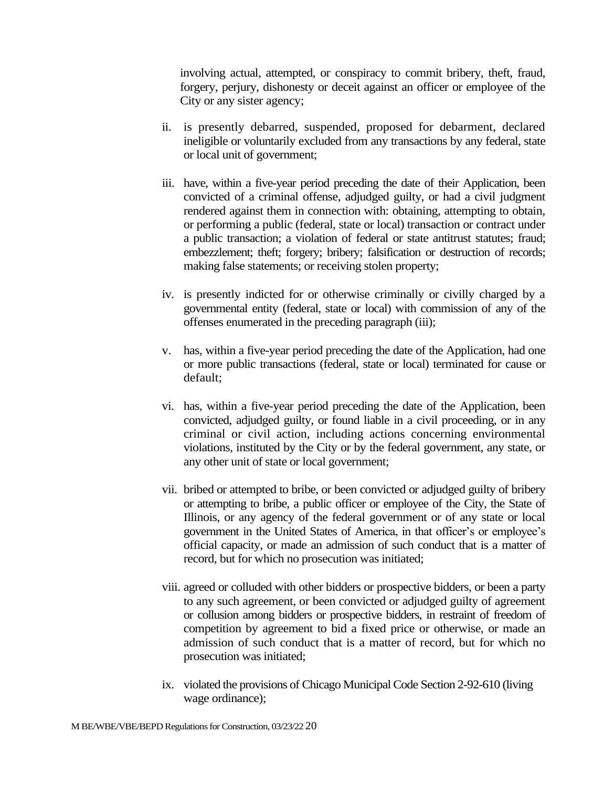involving actual, attempted, or conspiracy to commit bribery, theft, fraud, forgery, perjury, dishonesty or deceit against an officer or employee of the City or any sister agency;

- ii. is presently debarred, suspended, proposed for debarment, declared ineligible or voluntarily excluded from any transactions by any federal, state or local unit of government;
- iii. have, within a five-year period preceding the date of their Application, been convicted of a criminal offense, adjudged guilty, or had a civil judgment rendered against them in connection with: obtaining, attempting to obtain, or performing a public (federal, state or local) transaction or contract under a public transaction; a violation of federal or state antitrust statutes; fraud; embezzlement; theft; forgery; bribery; falsification or destruction of records; making false statements; or receiving stolen property;
- iv. is presently indicted for or otherwise criminally or civilly charged by a governmental entity (federal, state or local) with commission of any of the offenses enumerated in the preceding paragraph (iii);
- v. has, within a five-year period preceding the date of the Application, had one or more public transactions (federal, state or local) terminated for cause or default;
- vi. has, within a five-year period preceding the date of the Application, been convicted, adjudged guilty, or found liable in a civil proceeding, or in any criminal or civil action, including actions concerning environmental violations, instituted by the City or by the federal government, any state, or any other unit of state or local government;
- vii. bribed or attempted to bribe, or been convicted or adjudged guilty of bribery or attempting to bribe, a public officer or employee of the City, the State of Illinois, or any agency of the federal government or of any state or local government in the United States of America, in that officer's or employee's official capacity, or made an admission of such conduct that is a matter of record, but for which no prosecution was initiated;
- viii. agreed or colluded with other bidders or prospective bidders, or been a party to any such agreement, or been convicted or adjudged guilty of agreement or collusion among bidders or prospective bidders, in restraint of freedom of competition by agreement to bid a fixed price or otherwise, or made an admission of such conduct that is a matter of record, but for which no prosecution was initiated;
- ix. violated the provisions of Chicago Municipal Code Section 2-92-610 (living wage ordinance);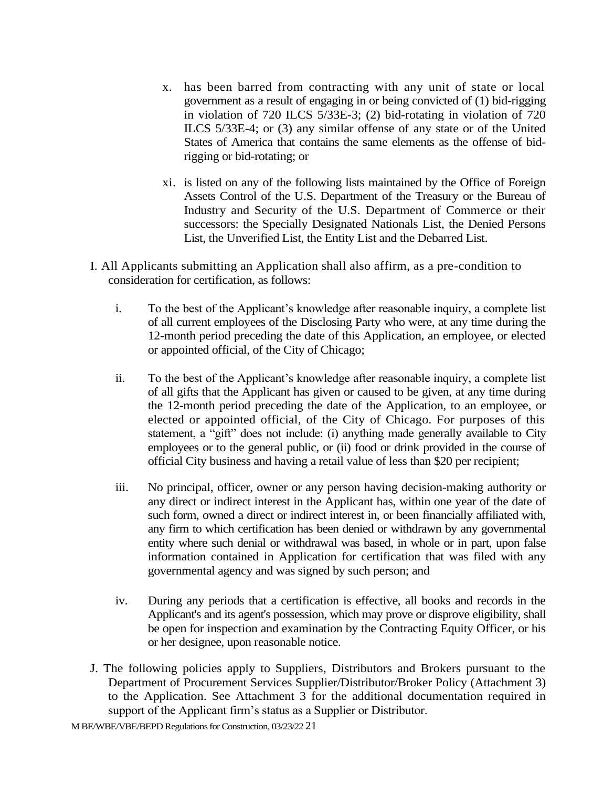- x. has been barred from contracting with any unit of state or local government as a result of engaging in or being convicted of (1) bid-rigging in violation of 720 ILCS 5/33E-3; (2) bid-rotating in violation of 720 ILCS 5/33E-4; or (3) any similar offense of any state or of the United States of America that contains the same elements as the offense of bidrigging or bid-rotating; or
- xi. is listed on any of the following lists maintained by the Office of Foreign Assets Control of the U.S. Department of the Treasury or the Bureau of Industry and Security of the U.S. Department of Commerce or their successors: the Specially Designated Nationals List, the Denied Persons List, the Unverified List, the Entity List and the Debarred List.
- I. All Applicants submitting an Application shall also affirm, as a pre-condition to consideration for certification, as follows:
	- i. To the best of the Applicant's knowledge after reasonable inquiry, a complete list of all current employees of the Disclosing Party who were, at any time during the 12-month period preceding the date of this Application, an employee, or elected or appointed official, of the City of Chicago;
	- ii. To the best of the Applicant's knowledge after reasonable inquiry, a complete list of all gifts that the Applicant has given or caused to be given, at any time during the 12-month period preceding the date of the Application, to an employee, or elected or appointed official, of the City of Chicago. For purposes of this statement, a "gift" does not include: (i) anything made generally available to City employees or to the general public, or (ii) food or drink provided in the course of official City business and having a retail value of less than \$20 per recipient;
	- iii. No principal, officer, owner or any person having decision-making authority or any direct or indirect interest in the Applicant has, within one year of the date of such form, owned a direct or indirect interest in, or been financially affiliated with, any firm to which certification has been denied or withdrawn by any governmental entity where such denial or withdrawal was based, in whole or in part, upon false information contained in Application for certification that was filed with any governmental agency and was signed by such person; and
	- iv. During any periods that a certification is effective, all books and records in the Applicant's and its agent's possession, which may prove or disprove eligibility, shall be open for inspection and examination by the Contracting Equity Officer, or his or her designee, upon reasonable notice.
- J. The following policies apply to Suppliers, Distributors and Brokers pursuant to the Department of Procurement Services Supplier/Distributor/Broker Policy (Attachment 3) to the Application. See Attachment 3 for the additional documentation required in support of the Applicant firm's status as a Supplier or Distributor.

M BE/WBE/VBE/BEPD Regulations for Construction, 03/23/22 21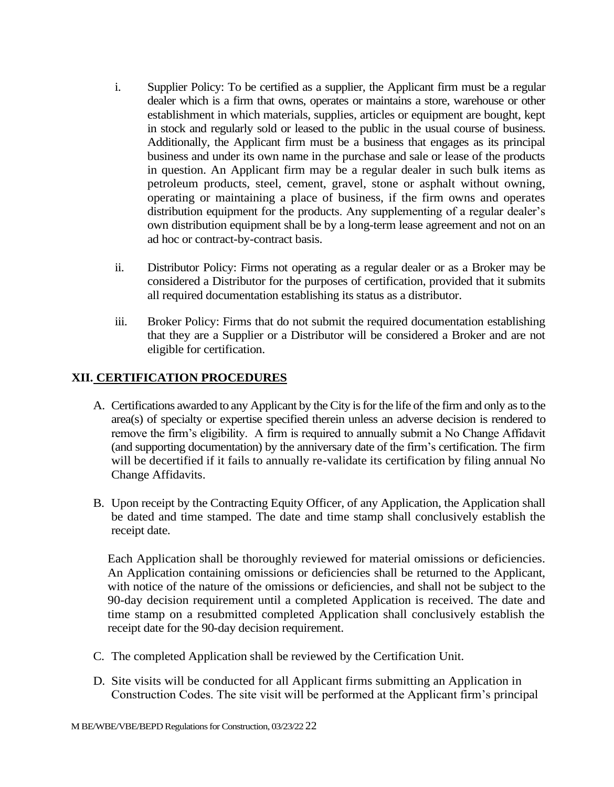- i. Supplier Policy: To be certified as a supplier, the Applicant firm must be a regular dealer which is a firm that owns, operates or maintains a store, warehouse or other establishment in which materials, supplies, articles or equipment are bought, kept in stock and regularly sold or leased to the public in the usual course of business. Additionally, the Applicant firm must be a business that engages as its principal business and under its own name in the purchase and sale or lease of the products in question. An Applicant firm may be a regular dealer in such bulk items as petroleum products, steel, cement, gravel, stone or asphalt without owning, operating or maintaining a place of business, if the firm owns and operates distribution equipment for the products. Any supplementing of a regular dealer's own distribution equipment shall be by a long-term lease agreement and not on an ad hoc or contract-by-contract basis.
- ii. Distributor Policy: Firms not operating as a regular dealer or as a Broker may be considered a Distributor for the purposes of certification, provided that it submits all required documentation establishing its status as a distributor.
- iii. Broker Policy: Firms that do not submit the required documentation establishing that they are a Supplier or a Distributor will be considered a Broker and are not eligible for certification.

## **XII. CERTIFICATION PROCEDURES**

- A. Certifications awarded to any Applicant by the City is for the life of the firm and only as to the area(s) of specialty or expertise specified therein unless an adverse decision is rendered to remove the firm's eligibility. A firm is required to annually submit a No Change Affidavit (and supporting documentation) by the anniversary date of the firm's certification. The firm will be decertified if it fails to annually re-validate its certification by filing annual No Change Affidavits.
- B. Upon receipt by the Contracting Equity Officer, of any Application, the Application shall be dated and time stamped. The date and time stamp shall conclusively establish the receipt date.

Each Application shall be thoroughly reviewed for material omissions or deficiencies. An Application containing omissions or deficiencies shall be returned to the Applicant, with notice of the nature of the omissions or deficiencies, and shall not be subject to the 90-day decision requirement until a completed Application is received. The date and time stamp on a resubmitted completed Application shall conclusively establish the receipt date for the 90-day decision requirement.

- C. The completed Application shall be reviewed by the Certification Unit.
- D. Site visits will be conducted for all Applicant firms submitting an Application in Construction Codes. The site visit will be performed at the Applicant firm's principal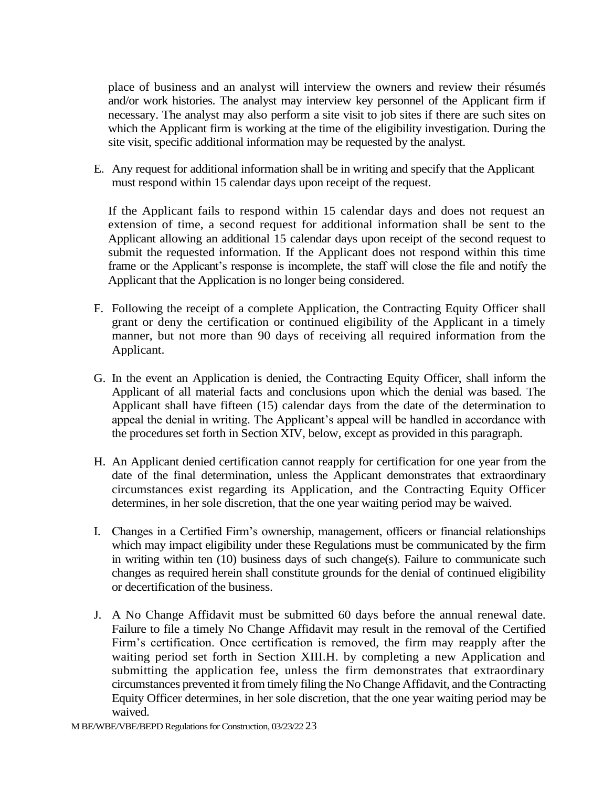place of business and an analyst will interview the owners and review their résumés and/or work histories. The analyst may interview key personnel of the Applicant firm if necessary. The analyst may also perform a site visit to job sites if there are such sites on which the Applicant firm is working at the time of the eligibility investigation. During the site visit, specific additional information may be requested by the analyst.

E. Any request for additional information shall be in writing and specify that the Applicant must respond within 15 calendar days upon receipt of the request.

If the Applicant fails to respond within 15 calendar days and does not request an extension of time, a second request for additional information shall be sent to the Applicant allowing an additional 15 calendar days upon receipt of the second request to submit the requested information. If the Applicant does not respond within this time frame or the Applicant's response is incomplete, the staff will close the file and notify the Applicant that the Application is no longer being considered.

- F. Following the receipt of a complete Application, the Contracting Equity Officer shall grant or deny the certification or continued eligibility of the Applicant in a timely manner, but not more than 90 days of receiving all required information from the Applicant.
- G. In the event an Application is denied, the Contracting Equity Officer, shall inform the Applicant of all material facts and conclusions upon which the denial was based. The Applicant shall have fifteen (15) calendar days from the date of the determination to appeal the denial in writing. The Applicant's appeal will be handled in accordance with the procedures set forth in Section XIV, below, except as provided in this paragraph.
- H. An Applicant denied certification cannot reapply for certification for one year from the date of the final determination, unless the Applicant demonstrates that extraordinary circumstances exist regarding its Application, and the Contracting Equity Officer determines, in her sole discretion, that the one year waiting period may be waived.
- I. Changes in a Certified Firm's ownership, management, officers or financial relationships which may impact eligibility under these Regulations must be communicated by the firm in writing within ten (10) business days of such change(s). Failure to communicate such changes as required herein shall constitute grounds for the denial of continued eligibility or decertification of the business.
- J. A No Change Affidavit must be submitted 60 days before the annual renewal date. Failure to file a timely No Change Affidavit may result in the removal of the Certified Firm's certification. Once certification is removed, the firm may reapply after the waiting period set forth in Section XIII.H. by completing a new Application and submitting the application fee, unless the firm demonstrates that extraordinary circumstances prevented it from timely filing the No Change Affidavit, and the Contracting Equity Officer determines, in her sole discretion, that the one year waiting period may be waived.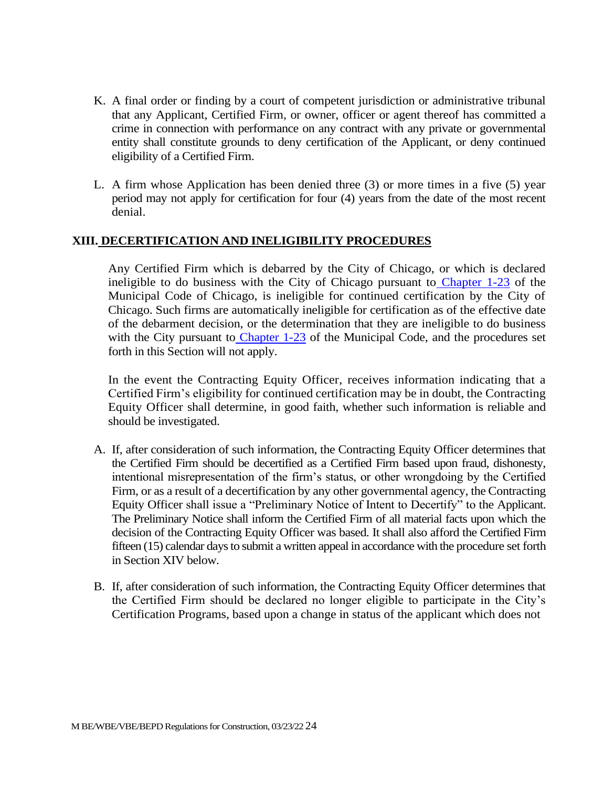- K. A final order or finding by a court of competent jurisdiction or administrative tribunal that any Applicant, Certified Firm, or owner, officer or agent thereof has committed a crime in connection with performance on any contract with any private or governmental entity shall constitute grounds to deny certification of the Applicant, or deny continued eligibility of a Certified Firm.
- L. A firm whose Application has been denied three (3) or more times in a five (5) year period may not apply for certification for four (4) years from the date of the most recent denial.

#### **XIII. DECERTIFICATION AND INELIGIBILITY PROCEDURES**

Any Certified Firm which is debarred by the City of Chicago, or which is declared ineligible to do business with the City of Chicago pursuant to Chapter 1-23 of the Municipal Code of Chicago, is ineligible for continued certification by the City of Chicago. Such firms are automatically ineligible for certification as of the effective date of the debarment decision, or the determination that they are ineligible to do business with the City pursuant to Chapter 1-23 of the Municipal Code, and the procedures set forth in this Section will not apply.

In the event the Contracting Equity Officer, receives information indicating that a Certified Firm's eligibility for continued certification may be in doubt, the Contracting Equity Officer shall determine, in good faith, whether such information is reliable and should be investigated.

- A. If, after consideration of such information, the Contracting Equity Officer determines that the Certified Firm should be decertified as a Certified Firm based upon fraud, dishonesty, intentional misrepresentation of the firm's status, or other wrongdoing by the Certified Firm, or as a result of a decertification by any other governmental agency, the Contracting Equity Officer shall issue a "Preliminary Notice of Intent to Decertify" to the Applicant. The Preliminary Notice shall inform the Certified Firm of all material facts upon which the decision of the Contracting Equity Officer was based. It shall also afford the Certified Firm fifteen (15) calendar days to submit a written appeal in accordance with the procedure set forth in Section XIV below.
- B. If, after consideration of such information, the Contracting Equity Officer determines that the Certified Firm should be declared no longer eligible to participate in the City's Certification Programs, based upon a change in status of the applicant which does not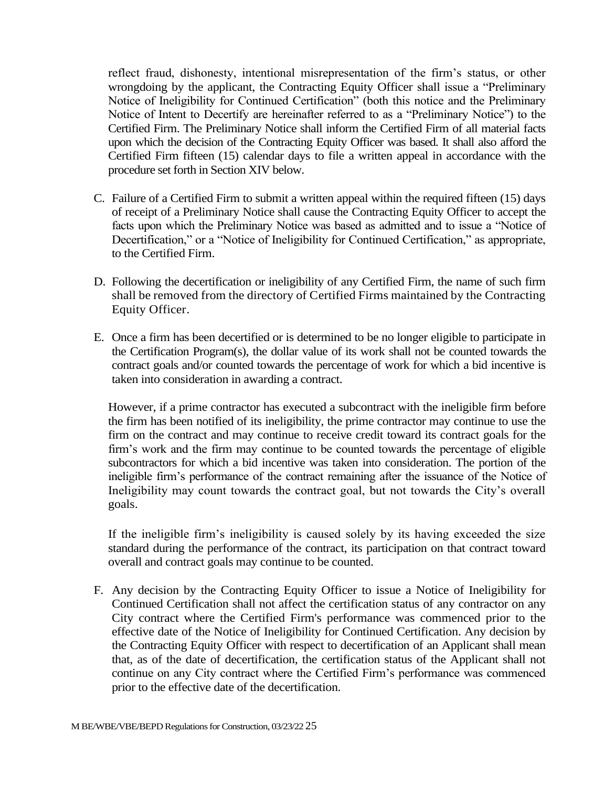reflect fraud, dishonesty, intentional misrepresentation of the firm's status, or other wrongdoing by the applicant, the Contracting Equity Officer shall issue a "Preliminary Notice of Ineligibility for Continued Certification" (both this notice and the Preliminary Notice of Intent to Decertify are hereinafter referred to as a "Preliminary Notice") to the Certified Firm. The Preliminary Notice shall inform the Certified Firm of all material facts upon which the decision of the Contracting Equity Officer was based. It shall also afford the Certified Firm fifteen (15) calendar days to file a written appeal in accordance with the procedure set forth in Section XIV below.

- C. Failure of a Certified Firm to submit a written appeal within the required fifteen (15) days of receipt of a Preliminary Notice shall cause the Contracting Equity Officer to accept the facts upon which the Preliminary Notice was based as admitted and to issue a "Notice of Decertification," or a "Notice of Ineligibility for Continued Certification," as appropriate, to the Certified Firm.
- D. Following the decertification or ineligibility of any Certified Firm, the name of such firm shall be removed from the directory of Certified Firms maintained by the Contracting Equity Officer.
- E. Once a firm has been decertified or is determined to be no longer eligible to participate in the Certification Program(s), the dollar value of its work shall not be counted towards the contract goals and/or counted towards the percentage of work for which a bid incentive is taken into consideration in awarding a contract.

However, if a prime contractor has executed a subcontract with the ineligible firm before the firm has been notified of its ineligibility, the prime contractor may continue to use the firm on the contract and may continue to receive credit toward its contract goals for the firm's work and the firm may continue to be counted towards the percentage of eligible subcontractors for which a bid incentive was taken into consideration. The portion of the ineligible firm's performance of the contract remaining after the issuance of the Notice of Ineligibility may count towards the contract goal, but not towards the City's overall goals.

If the ineligible firm's ineligibility is caused solely by its having exceeded the size standard during the performance of the contract, its participation on that contract toward overall and contract goals may continue to be counted.

F. Any decision by the Contracting Equity Officer to issue a Notice of Ineligibility for Continued Certification shall not affect the certification status of any contractor on any City contract where the Certified Firm's performance was commenced prior to the effective date of the Notice of Ineligibility for Continued Certification. Any decision by the Contracting Equity Officer with respect to decertification of an Applicant shall mean that, as of the date of decertification, the certification status of the Applicant shall not continue on any City contract where the Certified Firm's performance was commenced prior to the effective date of the decertification.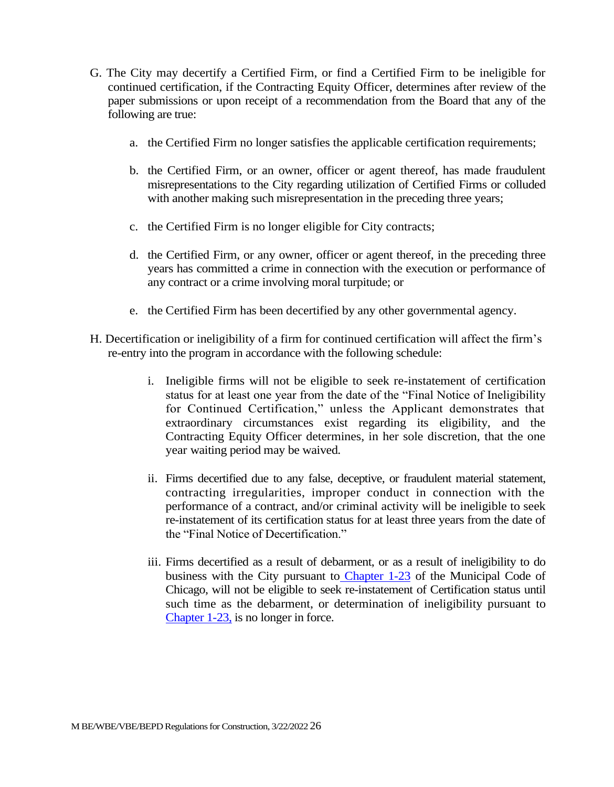- G. The City may decertify a Certified Firm, or find a Certified Firm to be ineligible for continued certification, if the Contracting Equity Officer, determines after review of the paper submissions or upon receipt of a recommendation from the Board that any of the following are true:
	- a. the Certified Firm no longer satisfies the applicable certification requirements;
	- b. the Certified Firm, or an owner, officer or agent thereof, has made fraudulent misrepresentations to the City regarding utilization of Certified Firms or colluded with another making such misrepresentation in the preceding three years;
	- c. the Certified Firm is no longer eligible for City contracts;
	- d. the Certified Firm, or any owner, officer or agent thereof, in the preceding three years has committed a crime in connection with the execution or performance of any contract or a crime involving moral turpitude; or
	- e. the Certified Firm has been decertified by any other governmental agency.
- H. Decertification or ineligibility of a firm for continued certification will affect the firm's re-entry into the program in accordance with the following schedule:
	- i. Ineligible firms will not be eligible to seek re-instatement of certification status for at least one year from the date of the "Final Notice of Ineligibility for Continued Certification," unless the Applicant demonstrates that extraordinary circumstances exist regarding its eligibility, and the Contracting Equity Officer determines, in her sole discretion, that the one year waiting period may be waived.
	- ii. Firms decertified due to any false, deceptive, or fraudulent material statement, contracting irregularities, improper conduct in connection with the performance of a contract, and/or criminal activity will be ineligible to seek re-instatement of its certification status for at least three years from the date of the "Final Notice of Decertification."
	- iii. Firms decertified as a result of debarment, or as a result of ineligibility to do business with the City pursuant to Chapter 1-23 of the Municipal Code of Chicago, will not be eligible to seek re-instatement of Certification status until such time as the debarment, or determination of ineligibility pursuant to Chapter 1-23, is no longer in force.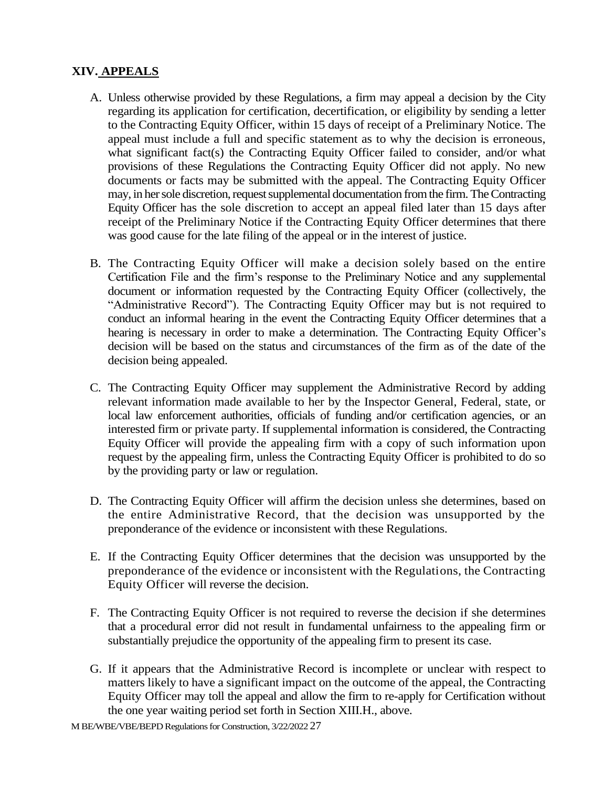## **XIV. APPEALS**

- A. Unless otherwise provided by these Regulations, a firm may appeal a decision by the City regarding its application for certification, decertification, or eligibility by sending a letter to the Contracting Equity Officer, within 15 days of receipt of a Preliminary Notice. The appeal must include a full and specific statement as to why the decision is erroneous, what significant fact(s) the Contracting Equity Officer failed to consider, and/or what provisions of these Regulations the Contracting Equity Officer did not apply. No new documents or facts may be submitted with the appeal. The Contracting Equity Officer may, in her sole discretion, request supplemental documentation from the firm. The Contracting Equity Officer has the sole discretion to accept an appeal filed later than 15 days after receipt of the Preliminary Notice if the Contracting Equity Officer determines that there was good cause for the late filing of the appeal or in the interest of justice.
- B. The Contracting Equity Officer will make a decision solely based on the entire Certification File and the firm's response to the Preliminary Notice and any supplemental document or information requested by the Contracting Equity Officer (collectively, the "Administrative Record"). The Contracting Equity Officer may but is not required to conduct an informal hearing in the event the Contracting Equity Officer determines that a hearing is necessary in order to make a determination. The Contracting Equity Officer's decision will be based on the status and circumstances of the firm as of the date of the decision being appealed.
- C. The Contracting Equity Officer may supplement the Administrative Record by adding relevant information made available to her by the Inspector General, Federal, state, or local law enforcement authorities, officials of funding and/or certification agencies, or an interested firm or private party. If supplemental information is considered, the Contracting Equity Officer will provide the appealing firm with a copy of such information upon request by the appealing firm, unless the Contracting Equity Officer is prohibited to do so by the providing party or law or regulation.
- D. The Contracting Equity Officer will affirm the decision unless she determines, based on the entire Administrative Record, that the decision was unsupported by the preponderance of the evidence or inconsistent with these Regulations.
- E. If the Contracting Equity Officer determines that the decision was unsupported by the preponderance of the evidence or inconsistent with the Regulations, the Contracting Equity Officer will reverse the decision.
- F. The Contracting Equity Officer is not required to reverse the decision if she determines that a procedural error did not result in fundamental unfairness to the appealing firm or substantially prejudice the opportunity of the appealing firm to present its case.
- G. If it appears that the Administrative Record is incomplete or unclear with respect to matters likely to have a significant impact on the outcome of the appeal, the Contracting Equity Officer may toll the appeal and allow the firm to re-apply for Certification without the one year waiting period set forth in Section XIII.H., above.

M BE/WBE/VBE/BEPD Regulations for Construction, 3/22/2022 27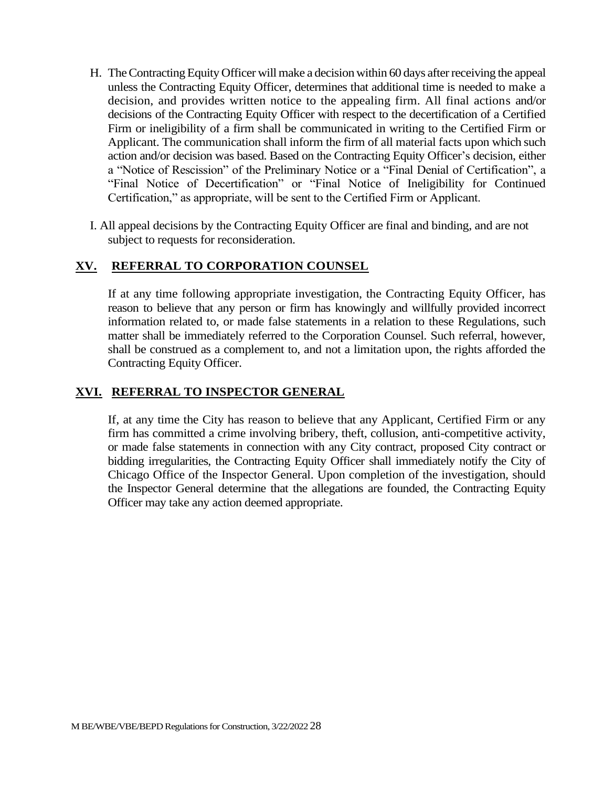- H. The Contracting Equity Officer will make a decision within 60 days after receiving the appeal unless the Contracting Equity Officer, determines that additional time is needed to make a decision, and provides written notice to the appealing firm. All final actions and/or decisions of the Contracting Equity Officer with respect to the decertification of a Certified Firm or ineligibility of a firm shall be communicated in writing to the Certified Firm or Applicant. The communication shall inform the firm of all material facts upon which such action and/or decision was based. Based on the Contracting Equity Officer's decision, either a "Notice of Rescission" of the Preliminary Notice or a "Final Denial of Certification", a "Final Notice of Decertification" or "Final Notice of Ineligibility for Continued Certification," as appropriate, will be sent to the Certified Firm or Applicant.
- I. All appeal decisions by the Contracting Equity Officer are final and binding, and are not subject to requests for reconsideration.

## **XV. REFERRAL TO CORPORATION COUNSEL**

If at any time following appropriate investigation, the Contracting Equity Officer, has reason to believe that any person or firm has knowingly and willfully provided incorrect information related to, or made false statements in a relation to these Regulations, such matter shall be immediately referred to the Corporation Counsel. Such referral, however, shall be construed as a complement to, and not a limitation upon, the rights afforded the Contracting Equity Officer.

#### **XVI. REFERRAL TO INSPECTOR GENERAL**

If, at any time the City has reason to believe that any Applicant, Certified Firm or any firm has committed a crime involving bribery, theft, collusion, anti-competitive activity, or made false statements in connection with any City contract, proposed City contract or bidding irregularities, the Contracting Equity Officer shall immediately notify the City of Chicago Office of the Inspector General. Upon completion of the investigation, should the Inspector General determine that the allegations are founded, the Contracting Equity Officer may take any action deemed appropriate.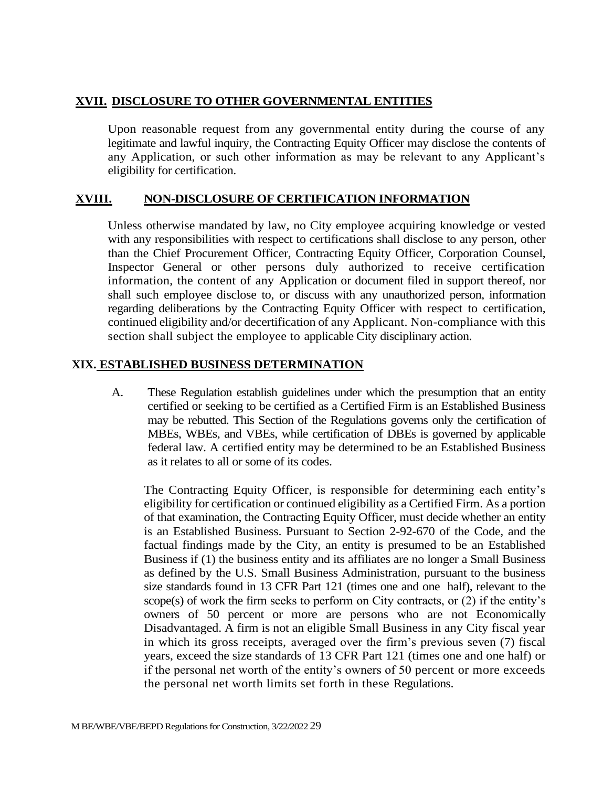#### **XVII. DISCLOSURE TO OTHER GOVERNMENTAL ENTITIES**

Upon reasonable request from any governmental entity during the course of any legitimate and lawful inquiry, the Contracting Equity Officer may disclose the contents of any Application, or such other information as may be relevant to any Applicant's eligibility for certification.

#### **XVIII. NON-DISCLOSURE OF CERTIFICATION INFORMATION**

Unless otherwise mandated by law, no City employee acquiring knowledge or vested with any responsibilities with respect to certifications shall disclose to any person, other than the Chief Procurement Officer, Contracting Equity Officer, Corporation Counsel, Inspector General or other persons duly authorized to receive certification information, the content of any Application or document filed in support thereof, nor shall such employee disclose to, or discuss with any unauthorized person, information regarding deliberations by the Contracting Equity Officer with respect to certification, continued eligibility and/or decertification of any Applicant. Non-compliance with this section shall subject the employee to applicable City disciplinary action.

#### **XIX. ESTABLISHED BUSINESS DETERMINATION**

A. These Regulation establish guidelines under which the presumption that an entity certified or seeking to be certified as a Certified Firm is an Established Business may be rebutted. This Section of the Regulations governs only the certification of MBEs, WBEs, and VBEs, while certification of DBEs is governed by applicable federal law. A certified entity may be determined to be an Established Business as it relates to all or some of its codes.

The Contracting Equity Officer, is responsible for determining each entity's eligibility for certification or continued eligibility as a Certified Firm. As a portion of that examination, the Contracting Equity Officer, must decide whether an entity is an Established Business. Pursuant to Section 2-92-670 of the Code, and the factual findings made by the City, an entity is presumed to be an Established Business if (1) the business entity and its affiliates are no longer a Small Business as defined by the U.S. Small Business Administration, pursuant to the business size standards found in 13 CFR Part 121 (times one and one half), relevant to the scope(s) of work the firm seeks to perform on City contracts, or (2) if the entity's owners of 50 percent or more are persons who are not Economically Disadvantaged. A firm is not an eligible Small Business in any City fiscal year in which its gross receipts, averaged over the firm's previous seven (7) fiscal years, exceed the size standards of 13 CFR Part 121 (times one and one half) or if the personal net worth of the entity's owners of 50 percent or more exceeds the personal net worth limits set forth in these Regulations.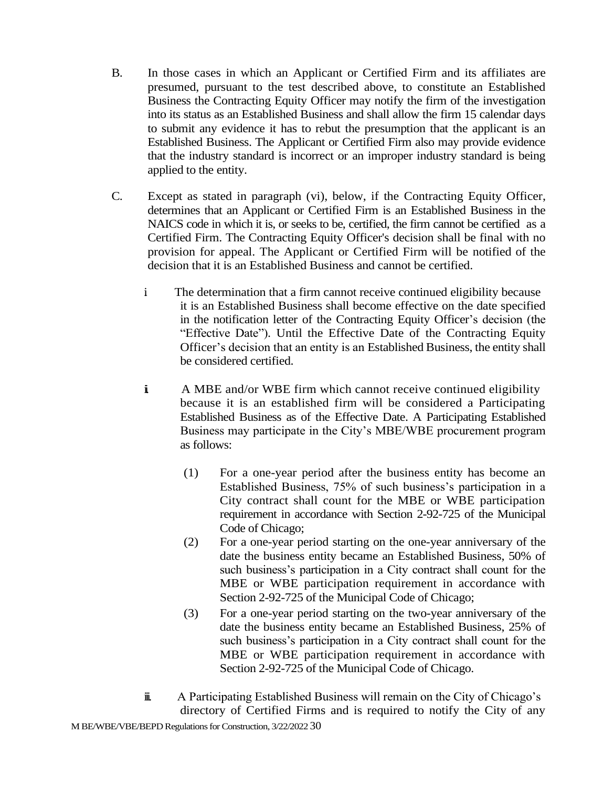- B. In those cases in which an Applicant or Certified Firm and its affiliates are presumed, pursuant to the test described above, to constitute an Established Business the Contracting Equity Officer may notify the firm of the investigation into its status as an Established Business and shall allow the firm 15 calendar days to submit any evidence it has to rebut the presumption that the applicant is an Established Business. The Applicant or Certified Firm also may provide evidence that the industry standard is incorrect or an improper industry standard is being applied to the entity.
- C. Except as stated in paragraph (vi), below, if the Contracting Equity Officer, determines that an Applicant or Certified Firm is an Established Business in the NAICS code in which it is, or seeks to be, certified, the firm cannot be certified as a Certified Firm. The Contracting Equity Officer's decision shall be final with no provision for appeal. The Applicant or Certified Firm will be notified of the decision that it is an Established Business and cannot be certified.
	- i. The determination that a firm cannot receive continued eligibility because it is an Established Business shall become effective on the date specified in the notification letter of the Contracting Equity Officer's decision (the "Effective Date"). Until the Effective Date of the Contracting Equity Officer's decision that an entity is an Established Business, the entity shall be considered certified.
	- i A MBE and/or WBE firm which cannot receive continued eligibility because it is an established firm will be considered a Participating Established Business as of the Effective Date. A Participating Established Business may participate in the City's MBE/WBE procurement program as follows:
		- (1) For a one-year period after the business entity has become an Established Business, 75% of such business's participation in a City contract shall count for the MBE or WBE participation requirement in accordance with Section 2-92-725 of the Municipal Code of Chicago;
		- (2) For a one-year period starting on the one-year anniversary of the date the business entity became an Established Business, 50% of such business's participation in a City contract shall count for the MBE or WBE participation requirement in accordance with Section 2-92-725 of the Municipal Code of Chicago;
		- (3) For a one-year period starting on the two-year anniversary of the date the business entity became an Established Business, 25% of such business's participation in a City contract shall count for the MBE or WBE participation requirement in accordance with Section 2-92-725 of the Municipal Code of Chicago.
	- iii. A Participating Established Business will remain on the City of Chicago's directory of Certified Firms and is required to notify the City of any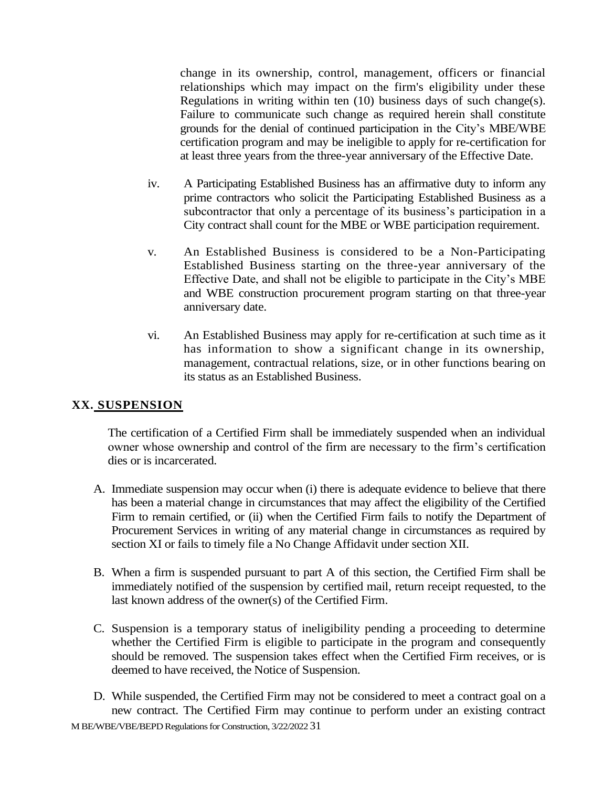change in its ownership, control, management, officers or financial relationships which may impact on the firm's eligibility under these Regulations in writing within ten (10) business days of such change(s). Failure to communicate such change as required herein shall constitute grounds for the denial of continued participation in the City's MBE/WBE certification program and may be ineligible to apply for re-certification for at least three years from the three-year anniversary of the Effective Date.

- iv. A Participating Established Business has an affirmative duty to inform any prime contractors who solicit the Participating Established Business as a subcontractor that only a percentage of its business's participation in a City contract shall count for the MBE or WBE participation requirement.
- v. An Established Business is considered to be a Non-Participating Established Business starting on the three-year anniversary of the Effective Date, and shall not be eligible to participate in the City's MBE and WBE construction procurement program starting on that three-year anniversary date.
- vi. An Established Business may apply for re-certification at such time as it has information to show a significant change in its ownership, management, contractual relations, size, or in other functions bearing on its status as an Established Business.

#### **XX. SUSPENSION**

The certification of a Certified Firm shall be immediately suspended when an individual owner whose ownership and control of the firm are necessary to the firm's certification dies or is incarcerated.

- A. Immediate suspension may occur when (i) there is adequate evidence to believe that there has been a material change in circumstances that may affect the eligibility of the Certified Firm to remain certified, or (ii) when the Certified Firm fails to notify the Department of Procurement Services in writing of any material change in circumstances as required by section XI or fails to timely file a No Change Affidavit under section XII.
- B. When a firm is suspended pursuant to part A of this section, the Certified Firm shall be immediately notified of the suspension by certified mail, return receipt requested, to the last known address of the owner(s) of the Certified Firm.
- C. Suspension is a temporary status of ineligibility pending a proceeding to determine whether the Certified Firm is eligible to participate in the program and consequently should be removed. The suspension takes effect when the Certified Firm receives, or is deemed to have received, the Notice of Suspension.
- M BE/WBE/VBE/BEPD Regulations for Construction, 3/22/2022 31 D. While suspended, the Certified Firm may not be considered to meet a contract goal on a new contract. The Certified Firm may continue to perform under an existing contract